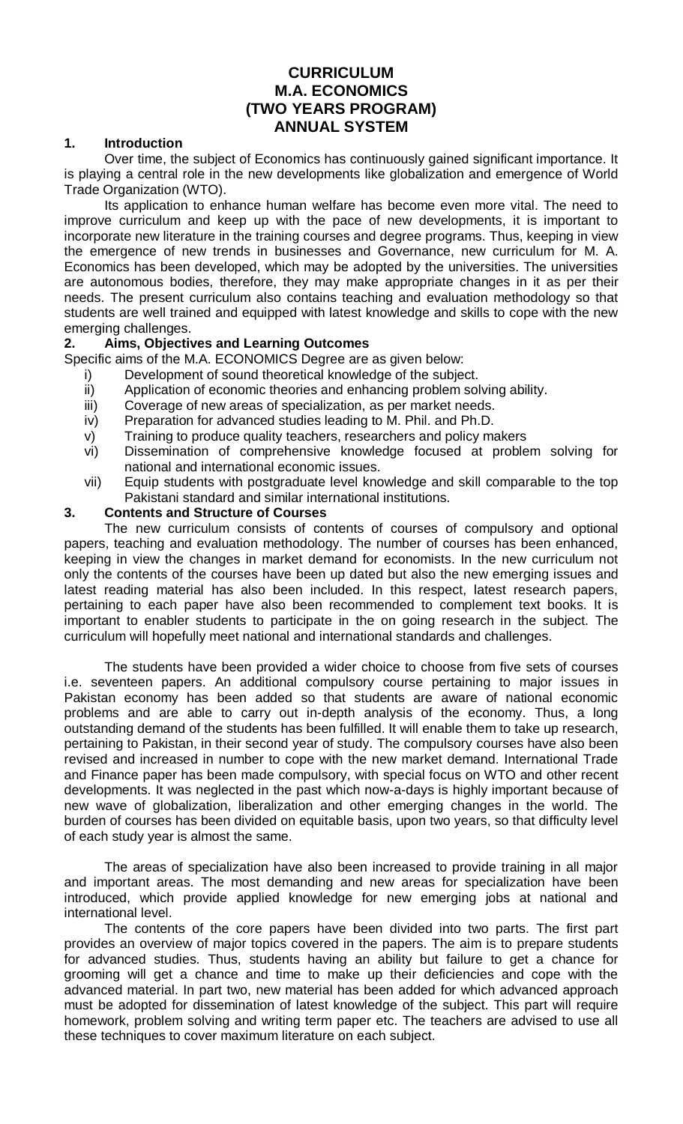# **CURRICULUM M.A. ECONOMICS (TWO YEARS PROGRAM) ANNUAL SYSTEM**

### **1. Introduction**

Over time, the subject of Economics has continuously gained significant importance. It is playing a central role in the new developments like globalization and emergence of World Trade Organization (WTO).

Its application to enhance human welfare has become even more vital. The need to improve curriculum and keep up with the pace of new developments, it is important to incorporate new literature in the training courses and degree programs. Thus, keeping in view the emergence of new trends in businesses and Governance, new curriculum for M. A. Economics has been developed, which may be adopted by the universities. The universities are autonomous bodies, therefore, they may make appropriate changes in it as per their needs. The present curriculum also contains teaching and evaluation methodology so that students are well trained and equipped with latest knowledge and skills to cope with the new emerging challenges.

### **2. Aims, Objectives and Learning Outcomes**

Specific aims of the M.A. ECONOMICS Degree are as given below:

- i) Development of sound theoretical knowledge of the subject.
- ii) Application of economic theories and enhancing problem solving ability.
- iii) Coverage of new areas of specialization, as per market needs.
- iv) Preparation for advanced studies leading to M. Phil. and Ph.D.
- v) Training to produce quality teachers, researchers and policy makers
- vi) Dissemination of comprehensive knowledge focused at problem solving for national and international economic issues.
- vii) Equip students with postgraduate level knowledge and skill comparable to the top Pakistani standard and similar international institutions.

### **3. Contents and Structure of Courses**

The new curriculum consists of contents of courses of compulsory and optional papers, teaching and evaluation methodology. The number of courses has been enhanced, keeping in view the changes in market demand for economists. In the new curriculum not only the contents of the courses have been up dated but also the new emerging issues and latest reading material has also been included. In this respect, latest research papers, pertaining to each paper have also been recommended to complement text books. It is important to enabler students to participate in the on going research in the subject. The curriculum will hopefully meet national and international standards and challenges.

The students have been provided a wider choice to choose from five sets of courses i.e. seventeen papers. An additional compulsory course pertaining to major issues in Pakistan economy has been added so that students are aware of national economic problems and are able to carry out in-depth analysis of the economy. Thus, a long outstanding demand of the students has been fulfilled. It will enable them to take up research, pertaining to Pakistan, in their second year of study. The compulsory courses have also been revised and increased in number to cope with the new market demand. International Trade and Finance paper has been made compulsory, with special focus on WTO and other recent developments. It was neglected in the past which now-a-days is highly important because of new wave of globalization, liberalization and other emerging changes in the world. The burden of courses has been divided on equitable basis, upon two years, so that difficulty level of each study year is almost the same.

The areas of specialization have also been increased to provide training in all major and important areas. The most demanding and new areas for specialization have been introduced, which provide applied knowledge for new emerging jobs at national and international level.

The contents of the core papers have been divided into two parts. The first part provides an overview of major topics covered in the papers. The aim is to prepare students for advanced studies. Thus, students having an ability but failure to get a chance for grooming will get a chance and time to make up their deficiencies and cope with the advanced material. In part two, new material has been added for which advanced approach must be adopted for dissemination of latest knowledge of the subject. This part will require homework, problem solving and writing term paper etc. The teachers are advised to use all these techniques to cover maximum literature on each subject.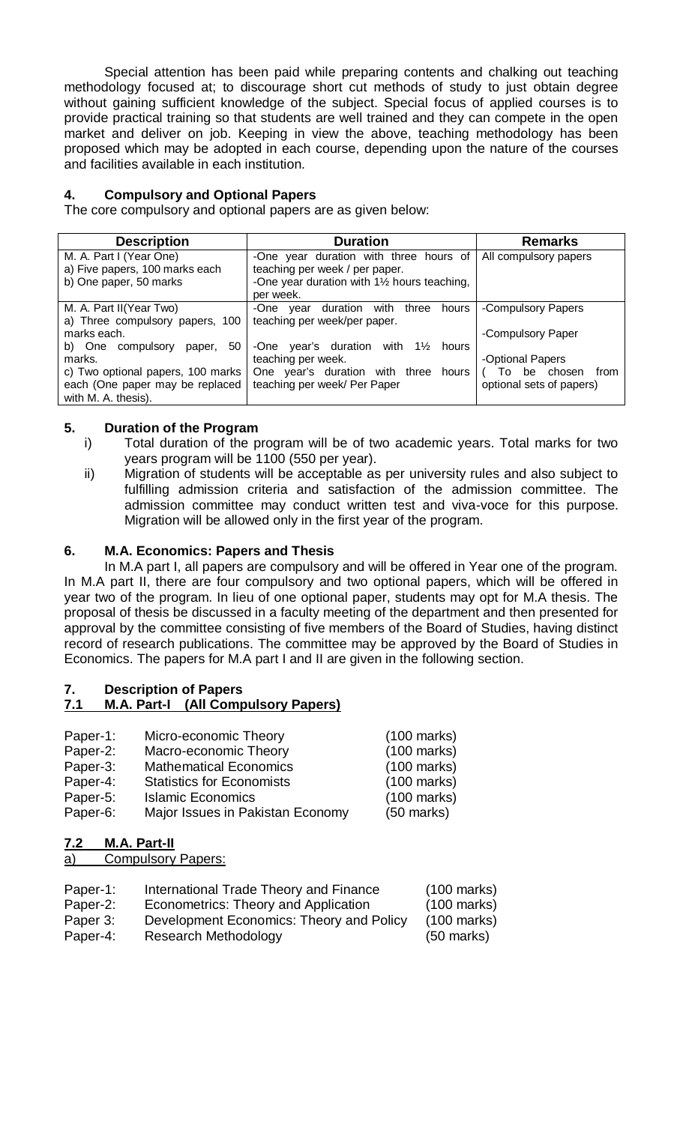Special attention has been paid while preparing contents and chalking out teaching methodology focused at; to discourage short cut methods of study to just obtain degree without gaining sufficient knowledge of the subject. Special focus of applied courses is to provide practical training so that students are well trained and they can compete in the open market and deliver on job. Keeping in view the above, teaching methodology has been proposed which may be adopted in each course, depending upon the nature of the courses and facilities available in each institution.

# **4. Compulsory and Optional Papers**

The core compulsory and optional papers are as given below:

| <b>Description</b>                | <b>Duration</b>                                   | <b>Remarks</b>           |
|-----------------------------------|---------------------------------------------------|--------------------------|
| M. A. Part I (Year One)           | -One year duration with three hours of            | All compulsory papers    |
| a) Five papers, 100 marks each    | teaching per week / per paper.                    |                          |
| b) One paper, 50 marks            | -One year duration with 11/2 hours teaching,      |                          |
|                                   | per week.                                         |                          |
| M. A. Part II(Year Two)           | year duration with three<br>-One<br>hours         | -Compulsory Papers       |
| a) Three compulsory papers, 100   | teaching per week/per paper.                      |                          |
| marks each.                       |                                                   | -Compulsory Paper        |
| b) One compulsory<br>50<br>paper, | -One year's duration with $1\frac{1}{2}$<br>hours |                          |
| marks.                            | teaching per week.                                | -Optional Papers         |
| c) Two optional papers, 100 marks | One year's duration with three hours              | To be chosen<br>from     |
| each (One paper may be replaced   | teaching per week/ Per Paper                      | optional sets of papers) |
| with M. A. thesis).               |                                                   |                          |

# **5. Duration of the Program**

- i) Total duration of the program will be of two academic years. Total marks for two years program will be 1100 (550 per year).
- ii) Migration of students will be acceptable as per university rules and also subject to fulfilling admission criteria and satisfaction of the admission committee. The admission committee may conduct written test and viva-voce for this purpose. Migration will be allowed only in the first year of the program.

### **6. M.A. Economics: Papers and Thesis**

In M.A part I, all papers are compulsory and will be offered in Year one of the program. In M.A part II, there are four compulsory and two optional papers, which will be offered in year two of the program. In lieu of one optional paper, students may opt for M.A thesis. The proposal of thesis be discussed in a faculty meeting of the department and then presented for approval by the committee consisting of five members of the Board of Studies, having distinct record of research publications. The committee may be approved by the Board of Studies in Economics. The papers for M.A part I and II are given in the following section.

# **7. Description of Papers**

# **7.1 M.A. Part-I (All Compulsory Papers)**

| Paper-1: | Micro-economic Theory            | $(100 \text{ marks})$ |
|----------|----------------------------------|-----------------------|
| Paper-2: | Macro-economic Theory            | $(100 \text{ marks})$ |
| Paper-3: | <b>Mathematical Economics</b>    | $(100 \text{ marks})$ |
| Paper-4: | <b>Statistics for Economists</b> | $(100 \text{ marks})$ |
| Paper-5: | <b>Islamic Economics</b>         | $(100 \text{ marks})$ |

Paper-6: Major Issues in Pakistan Economy (50 marks)

**7.2 M.A. Part-II**

a) Compulsory Papers:

| Paper-1: | International Trade Theory and Finance   | $(100 \text{ marks})$ |
|----------|------------------------------------------|-----------------------|
| Paper-2: | Econometrics: Theory and Application     | $(100 \text{ marks})$ |
| Paper 3: | Development Economics: Theory and Policy | $(100 \text{ marks})$ |
| Paper-4: | Research Methodology                     | $(50 \text{ marks})$  |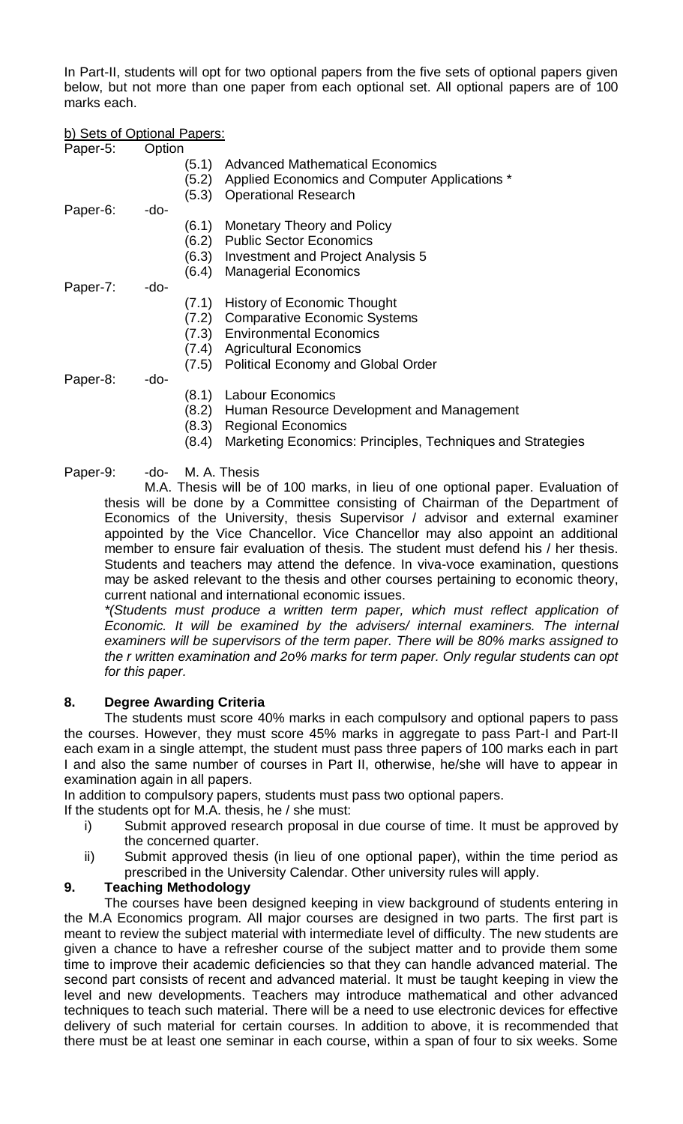In Part-II, students will opt for two optional papers from the five sets of optional papers given below, but not more than one paper from each optional set. All optional papers are of 100 marks each.

b) Sets of Optional Papers:

| Paper-5: | Option |       |                                                            |
|----------|--------|-------|------------------------------------------------------------|
|          |        | (5.1) | <b>Advanced Mathematical Economics</b>                     |
|          |        | (5.2) | Applied Economics and Computer Applications *              |
|          |        | (5.3) | <b>Operational Research</b>                                |
| Paper-6: | -do-   |       |                                                            |
|          |        | (6.1) | Monetary Theory and Policy                                 |
|          |        | (6.2) | <b>Public Sector Economics</b>                             |
|          |        |       | (6.3) Investment and Project Analysis 5                    |
|          |        | (6.4) | <b>Managerial Economics</b>                                |
| Paper-7: | -do-   |       |                                                            |
|          |        | (7.1) | History of Economic Thought                                |
|          |        | (7.2) | <b>Comparative Economic Systems</b>                        |
|          |        | (7.3) | <b>Environmental Economics</b>                             |
|          |        | (7.4) | <b>Agricultural Economics</b>                              |
|          |        | (7.5) | <b>Political Economy and Global Order</b>                  |
| Paper-8: | -do-   |       |                                                            |
|          |        | (8.1) | Labour Economics                                           |
|          |        | (8.2) | Human Resource Development and Management                  |
|          |        | (8.3) | <b>Regional Economics</b>                                  |
|          |        | (8.4) | Marketing Economics: Principles, Techniques and Strategies |

Paper-9: -do- M. A. Thesis

M.A. Thesis will be of 100 marks, in lieu of one optional paper. Evaluation of thesis will be done by a Committee consisting of Chairman of the Department of Economics of the University, thesis Supervisor / advisor and external examiner appointed by the Vice Chancellor. Vice Chancellor may also appoint an additional member to ensure fair evaluation of thesis. The student must defend his / her thesis. Students and teachers may attend the defence. In viva-voce examination, questions may be asked relevant to the thesis and other courses pertaining to economic theory, current national and international economic issues.

*\*(Students must produce a written term paper, which must reflect application of Economic. It will be examined by the advisers/ internal examiners. The internal examiners will be supervisors of the term paper. There will be 80% marks assigned to the r written examination and 2o% marks for term paper. Only regular students can opt for this paper.*

# **8. Degree Awarding Criteria**

The students must score 40% marks in each compulsory and optional papers to pass the courses. However, they must score 45% marks in aggregate to pass Part-I and Part-II each exam in a single attempt, the student must pass three papers of 100 marks each in part I and also the same number of courses in Part II, otherwise, he/she will have to appear in examination again in all papers.

In addition to compulsory papers, students must pass two optional papers.

If the students opt for M.A. thesis, he / she must:

- i) Submit approved research proposal in due course of time. It must be approved by the concerned quarter.
- ii) Submit approved thesis (in lieu of one optional paper), within the time period as prescribed in the University Calendar. Other university rules will apply.

# **9. Teaching Methodology**

The courses have been designed keeping in view background of students entering in the M.A Economics program. All major courses are designed in two parts. The first part is meant to review the subject material with intermediate level of difficulty. The new students are given a chance to have a refresher course of the subject matter and to provide them some time to improve their academic deficiencies so that they can handle advanced material. The second part consists of recent and advanced material. It must be taught keeping in view the level and new developments. Teachers may introduce mathematical and other advanced techniques to teach such material. There will be a need to use electronic devices for effective delivery of such material for certain courses. In addition to above, it is recommended that there must be at least one seminar in each course, within a span of four to six weeks. Some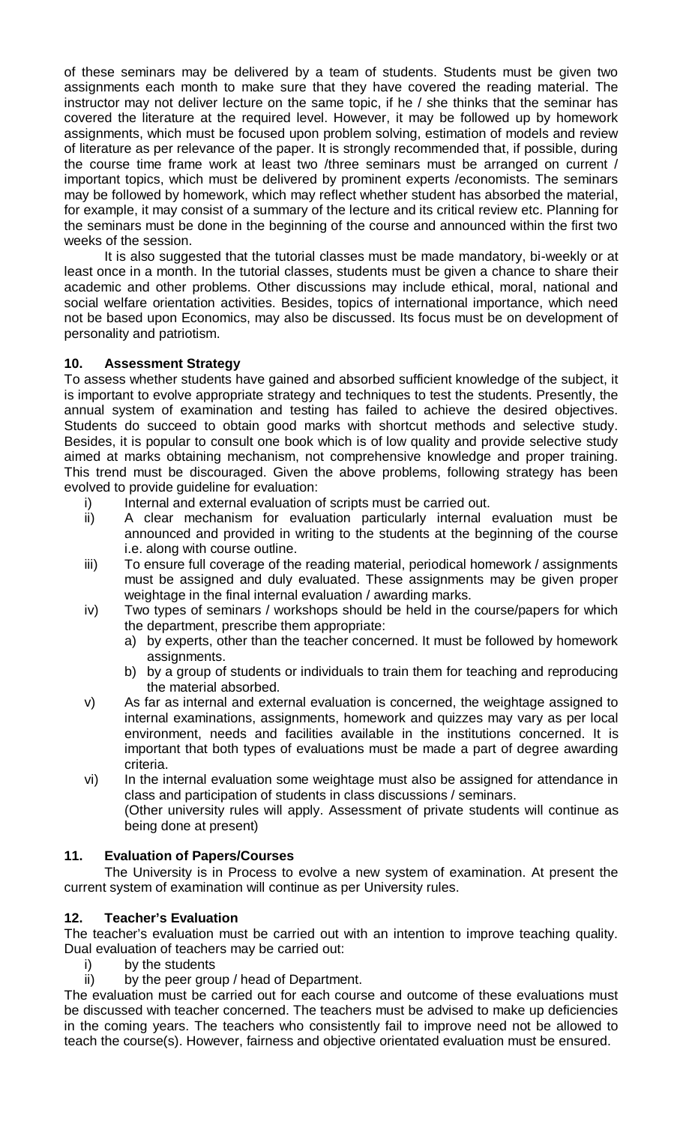of these seminars may be delivered by a team of students. Students must be given two assignments each month to make sure that they have covered the reading material. The instructor may not deliver lecture on the same topic, if he / she thinks that the seminar has covered the literature at the required level. However, it may be followed up by homework assignments, which must be focused upon problem solving, estimation of models and review of literature as per relevance of the paper. It is strongly recommended that, if possible, during the course time frame work at least two /three seminars must be arranged on current / important topics, which must be delivered by prominent experts /economists. The seminars may be followed by homework, which may reflect whether student has absorbed the material, for example, it may consist of a summary of the lecture and its critical review etc. Planning for the seminars must be done in the beginning of the course and announced within the first two weeks of the session.

It is also suggested that the tutorial classes must be made mandatory, bi-weekly or at least once in a month. In the tutorial classes, students must be given a chance to share their academic and other problems. Other discussions may include ethical, moral, national and social welfare orientation activities. Besides, topics of international importance, which need not be based upon Economics, may also be discussed. Its focus must be on development of personality and patriotism.

# **10. Assessment Strategy**

To assess whether students have gained and absorbed sufficient knowledge of the subject, it is important to evolve appropriate strategy and techniques to test the students. Presently, the annual system of examination and testing has failed to achieve the desired objectives. Students do succeed to obtain good marks with shortcut methods and selective study. Besides, it is popular to consult one book which is of low quality and provide selective study aimed at marks obtaining mechanism, not comprehensive knowledge and proper training. This trend must be discouraged. Given the above problems, following strategy has been evolved to provide guideline for evaluation:

- i) Internal and external evaluation of scripts must be carried out.
- ii) A clear mechanism for evaluation particularly internal evaluation must be announced and provided in writing to the students at the beginning of the course i.e. along with course outline.
- iii) To ensure full coverage of the reading material, periodical homework / assignments must be assigned and duly evaluated. These assignments may be given proper weightage in the final internal evaluation / awarding marks.
- iv) Two types of seminars / workshops should be held in the course/papers for which the department, prescribe them appropriate:
	- a) by experts, other than the teacher concerned. It must be followed by homework assignments.
	- b) by a group of students or individuals to train them for teaching and reproducing the material absorbed.
- v) As far as internal and external evaluation is concerned, the weightage assigned to internal examinations, assignments, homework and quizzes may vary as per local environment, needs and facilities available in the institutions concerned. It is important that both types of evaluations must be made a part of degree awarding criteria.
- vi) In the internal evaluation some weightage must also be assigned for attendance in class and participation of students in class discussions / seminars. (Other university rules will apply. Assessment of private students will continue as
	- being done at present)

# **11. Evaluation of Papers/Courses**

The University is in Process to evolve a new system of examination. At present the current system of examination will continue as per University rules.

# **12. Teacher's Evaluation**

The teacher's evaluation must be carried out with an intention to improve teaching quality. Dual evaluation of teachers may be carried out:

- i) by the students
- ii) by the peer group / head of Department.

The evaluation must be carried out for each course and outcome of these evaluations must be discussed with teacher concerned. The teachers must be advised to make up deficiencies in the coming years. The teachers who consistently fail to improve need not be allowed to teach the course(s). However, fairness and objective orientated evaluation must be ensured.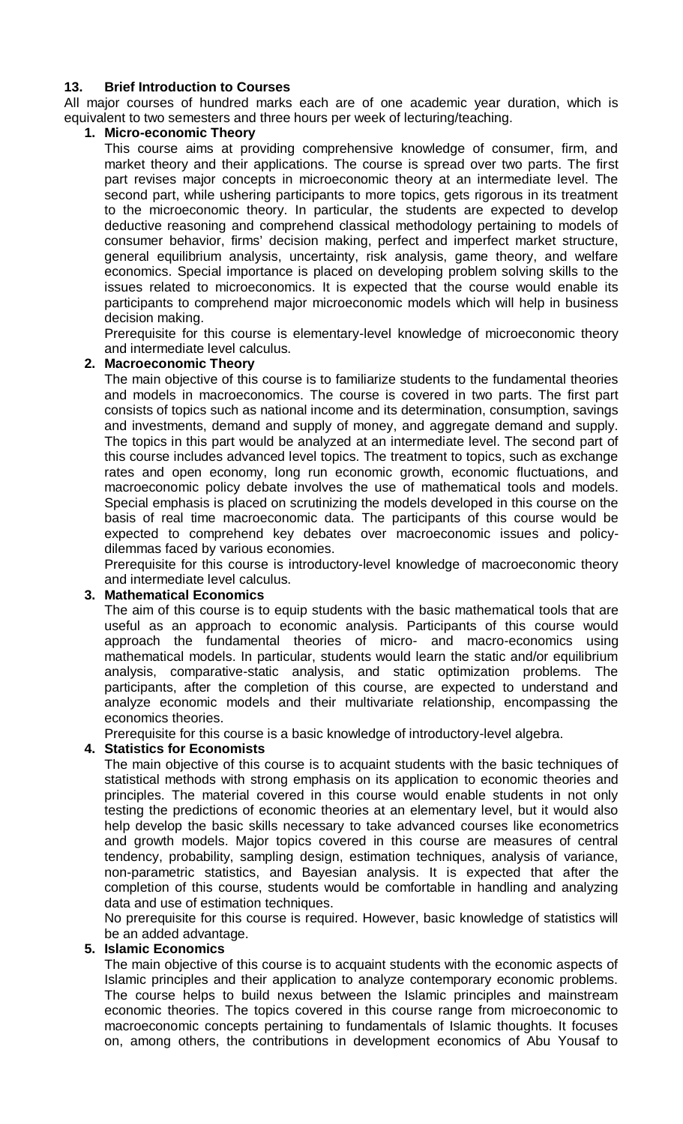### **13. Brief Introduction to Courses**

All major courses of hundred marks each are of one academic year duration, which is equivalent to two semesters and three hours per week of lecturing/teaching.

### **1. Micro-economic Theory**

This course aims at providing comprehensive knowledge of consumer, firm, and market theory and their applications. The course is spread over two parts. The first part revises major concepts in microeconomic theory at an intermediate level. The second part, while ushering participants to more topics, gets rigorous in its treatment to the microeconomic theory. In particular, the students are expected to develop deductive reasoning and comprehend classical methodology pertaining to models of consumer behavior, firms' decision making, perfect and imperfect market structure, general equilibrium analysis, uncertainty, risk analysis, game theory, and welfare economics. Special importance is placed on developing problem solving skills to the issues related to microeconomics. It is expected that the course would enable its participants to comprehend major microeconomic models which will help in business decision making.

Prerequisite for this course is elementary-level knowledge of microeconomic theory and intermediate level calculus.

### **2. Macroeconomic Theory**

The main objective of this course is to familiarize students to the fundamental theories and models in macroeconomics. The course is covered in two parts. The first part consists of topics such as national income and its determination, consumption, savings and investments, demand and supply of money, and aggregate demand and supply. The topics in this part would be analyzed at an intermediate level. The second part of this course includes advanced level topics. The treatment to topics, such as exchange rates and open economy, long run economic growth, economic fluctuations, and macroeconomic policy debate involves the use of mathematical tools and models. Special emphasis is placed on scrutinizing the models developed in this course on the basis of real time macroeconomic data. The participants of this course would be expected to comprehend key debates over macroeconomic issues and policydilemmas faced by various economies.

Prerequisite for this course is introductory-level knowledge of macroeconomic theory and intermediate level calculus.

### **3. Mathematical Economics**

The aim of this course is to equip students with the basic mathematical tools that are useful as an approach to economic analysis. Participants of this course would approach the fundamental theories of micro- and macro-economics using mathematical models. In particular, students would learn the static and/or equilibrium analysis, comparative-static analysis, and static optimization problems. The participants, after the completion of this course, are expected to understand and analyze economic models and their multivariate relationship, encompassing the economics theories.

Prerequisite for this course is a basic knowledge of introductory-level algebra.

### **4. Statistics for Economists**

The main objective of this course is to acquaint students with the basic techniques of statistical methods with strong emphasis on its application to economic theories and principles. The material covered in this course would enable students in not only testing the predictions of economic theories at an elementary level, but it would also help develop the basic skills necessary to take advanced courses like econometrics and growth models. Major topics covered in this course are measures of central tendency, probability, sampling design, estimation techniques, analysis of variance, non-parametric statistics, and Bayesian analysis. It is expected that after the completion of this course, students would be comfortable in handling and analyzing data and use of estimation techniques.

No prerequisite for this course is required. However, basic knowledge of statistics will be an added advantage.

### **5. Islamic Economics**

The main objective of this course is to acquaint students with the economic aspects of Islamic principles and their application to analyze contemporary economic problems. The course helps to build nexus between the Islamic principles and mainstream economic theories. The topics covered in this course range from microeconomic to macroeconomic concepts pertaining to fundamentals of Islamic thoughts. It focuses on, among others, the contributions in development economics of Abu Yousaf to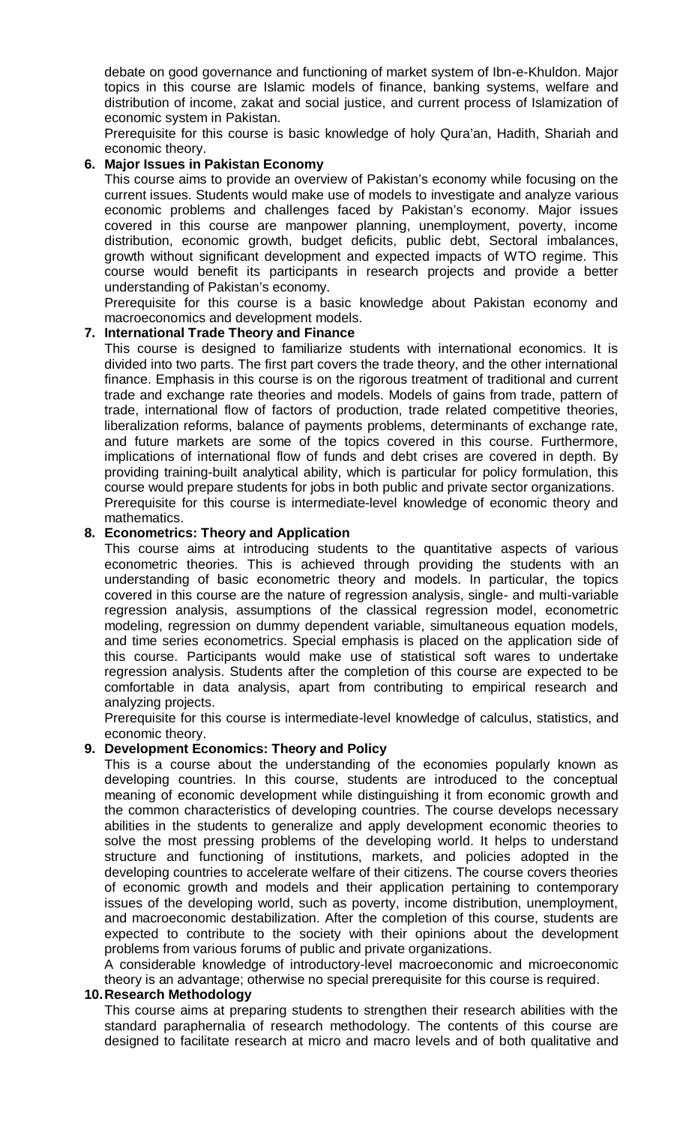debate on good governance and functioning of market system of Ibn-e-Khuldon. Major topics in this course are Islamic models of finance, banking systems, welfare and distribution of income, zakat and social justice, and current process of Islamization of economic system in Pakistan.

Prerequisite for this course is basic knowledge of holy Qura'an, Hadith, Shariah and economic theory.

### **6. Major Issues in Pakistan Economy**

This course aims to provide an overview of Pakistan's economy while focusing on the current issues. Students would make use of models to investigate and analyze various economic problems and challenges faced by Pakistan's economy. Major issues covered in this course are manpower planning, unemployment, poverty, income distribution, economic growth, budget deficits, public debt, Sectoral imbalances, growth without significant development and expected impacts of WTO regime. This course would benefit its participants in research projects and provide a better understanding of Pakistan's economy.

Prerequisite for this course is a basic knowledge about Pakistan economy and macroeconomics and development models.

### **7. International Trade Theory and Finance**

This course is designed to familiarize students with international economics. It is divided into two parts. The first part covers the trade theory, and the other international finance. Emphasis in this course is on the rigorous treatment of traditional and current trade and exchange rate theories and models. Models of gains from trade, pattern of trade, international flow of factors of production, trade related competitive theories, liberalization reforms, balance of payments problems, determinants of exchange rate, and future markets are some of the topics covered in this course. Furthermore, implications of international flow of funds and debt crises are covered in depth. By providing training-built analytical ability, which is particular for policy formulation, this course would prepare students for jobs in both public and private sector organizations. Prerequisite for this course is intermediate-level knowledge of economic theory and mathematics.

### **8. Econometrics: Theory and Application**

This course aims at introducing students to the quantitative aspects of various econometric theories. This is achieved through providing the students with an understanding of basic econometric theory and models. In particular, the topics covered in this course are the nature of regression analysis, single- and multi-variable regression analysis, assumptions of the classical regression model, econometric modeling, regression on dummy dependent variable, simultaneous equation models, and time series econometrics. Special emphasis is placed on the application side of this course. Participants would make use of statistical soft wares to undertake regression analysis. Students after the completion of this course are expected to be comfortable in data analysis, apart from contributing to empirical research and analyzing projects.

Prerequisite for this course is intermediate-level knowledge of calculus, statistics, and economic theory.

### **9. Development Economics: Theory and Policy**

This is a course about the understanding of the economies popularly known as developing countries. In this course, students are introduced to the conceptual meaning of economic development while distinguishing it from economic growth and the common characteristics of developing countries. The course develops necessary abilities in the students to generalize and apply development economic theories to solve the most pressing problems of the developing world. It helps to understand structure and functioning of institutions, markets, and policies adopted in the developing countries to accelerate welfare of their citizens. The course covers theories of economic growth and models and their application pertaining to contemporary issues of the developing world, such as poverty, income distribution, unemployment, and macroeconomic destabilization. After the completion of this course, students are expected to contribute to the society with their opinions about the development problems from various forums of public and private organizations.

A considerable knowledge of introductory-level macroeconomic and microeconomic theory is an advantage; otherwise no special prerequisite for this course is required.

# **10.Research Methodology**

This course aims at preparing students to strengthen their research abilities with the standard paraphernalia of research methodology. The contents of this course are designed to facilitate research at micro and macro levels and of both qualitative and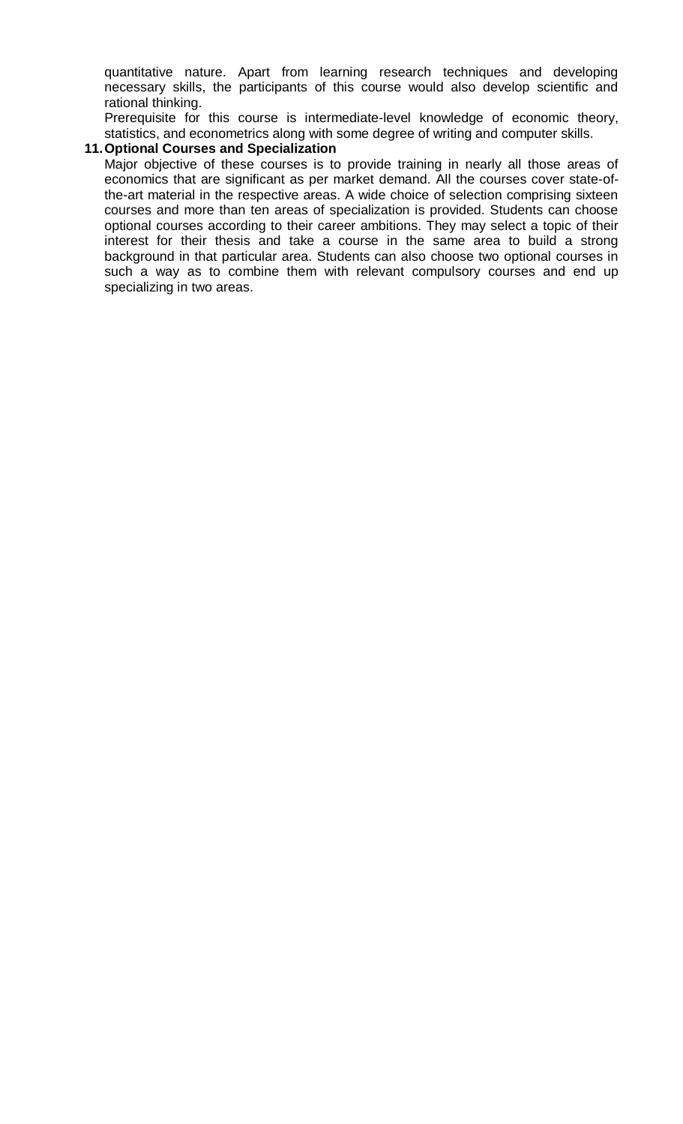quantitative nature. Apart from learning research techniques and developing necessary skills, the participants of this course would also develop scientific and rational thinking.

Prerequisite for this course is intermediate-level knowledge of economic theory, statistics, and econometrics along with some degree of writing and computer skills.

### **11.Optional Courses and Specialization**

Major objective of these courses is to provide training in nearly all those areas of economics that are significant as per market demand. All the courses cover state-ofthe-art material in the respective areas. A wide choice of selection comprising sixteen courses and more than ten areas of specialization is provided. Students can choose optional courses according to their career ambitions. They may select a topic of their interest for their thesis and take a course in the same area to build a strong background in that particular area. Students can also choose two optional courses in such a way as to combine them with relevant compulsory courses and end up specializing in two areas.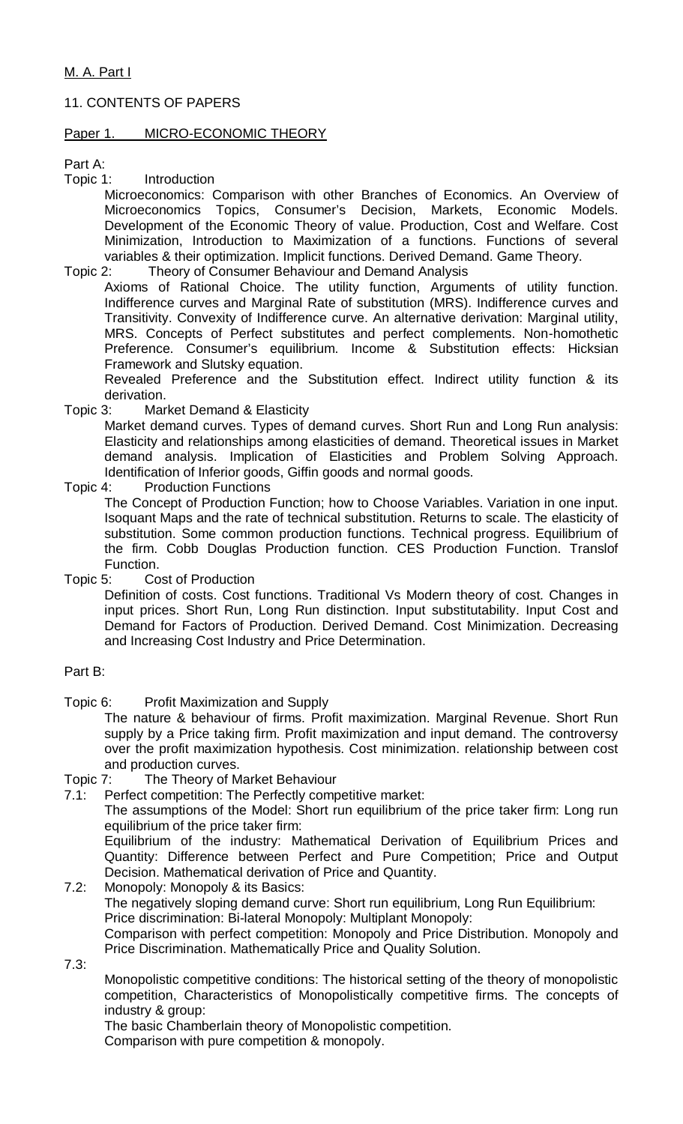# 11. CONTENTS OF PAPERS

### Paper 1. MICRO-ECONOMIC THEORY

Part A:

Topic 1: Introduction

Microeconomics: Comparison with other Branches of Economics. An Overview of Microeconomics Topics, Consumer's Decision, Markets, Economic Models. Development of the Economic Theory of value. Production, Cost and Welfare. Cost Minimization, Introduction to Maximization of a functions. Functions of several variables & their optimization. Implicit functions. Derived Demand. Game Theory.

Topic 2: Theory of Consumer Behaviour and Demand Analysis

Axioms of Rational Choice. The utility function, Arguments of utility function. Indifference curves and Marginal Rate of substitution (MRS). Indifference curves and Transitivity. Convexity of Indifference curve. An alternative derivation: Marginal utility, MRS. Concepts of Perfect substitutes and perfect complements. Non-homothetic Preference. Consumer's equilibrium. Income & Substitution effects: Hicksian Framework and Slutsky equation.

Revealed Preference and the Substitution effect. Indirect utility function & its derivation.

Topic 3: Market Demand & Elasticity

Market demand curves. Types of demand curves. Short Run and Long Run analysis: Elasticity and relationships among elasticities of demand. Theoretical issues in Market demand analysis. Implication of Elasticities and Problem Solving Approach. Identification of Inferior goods, Giffin goods and normal goods.

Topic 4: Production Functions

The Concept of Production Function; how to Choose Variables. Variation in one input. Isoquant Maps and the rate of technical substitution. Returns to scale. The elasticity of substitution. Some common production functions. Technical progress. Equilibrium of the firm. Cobb Douglas Production function. CES Production Function. Translof Function.

Topic 5: Cost of Production

Definition of costs. Cost functions. Traditional Vs Modern theory of cost. Changes in input prices. Short Run, Long Run distinction. Input substitutability. Input Cost and Demand for Factors of Production. Derived Demand. Cost Minimization. Decreasing and Increasing Cost Industry and Price Determination.

Part B:

Topic 6: Profit Maximization and Supply

The nature & behaviour of firms. Profit maximization. Marginal Revenue. Short Run supply by a Price taking firm. Profit maximization and input demand. The controversy over the profit maximization hypothesis. Cost minimization. relationship between cost and production curves.

Topic 7: The Theory of Market Behaviour

7.1: Perfect competition: The Perfectly competitive market:

The assumptions of the Model: Short run equilibrium of the price taker firm: Long run equilibrium of the price taker firm:

Equilibrium of the industry: Mathematical Derivation of Equilibrium Prices and Quantity: Difference between Perfect and Pure Competition; Price and Output Decision. Mathematical derivation of Price and Quantity.

- 7.2: Monopoly: Monopoly & its Basics: The negatively sloping demand curve: Short run equilibrium, Long Run Equilibrium: Price discrimination: Bi-lateral Monopoly: Multiplant Monopoly: Comparison with perfect competition: Monopoly and Price Distribution. Monopoly and Price Discrimination. Mathematically Price and Quality Solution.
- 7.3:

Monopolistic competitive conditions: The historical setting of the theory of monopolistic competition, Characteristics of Monopolistically competitive firms. The concepts of industry & group:

The basic Chamberlain theory of Monopolistic competition. Comparison with pure competition & monopoly.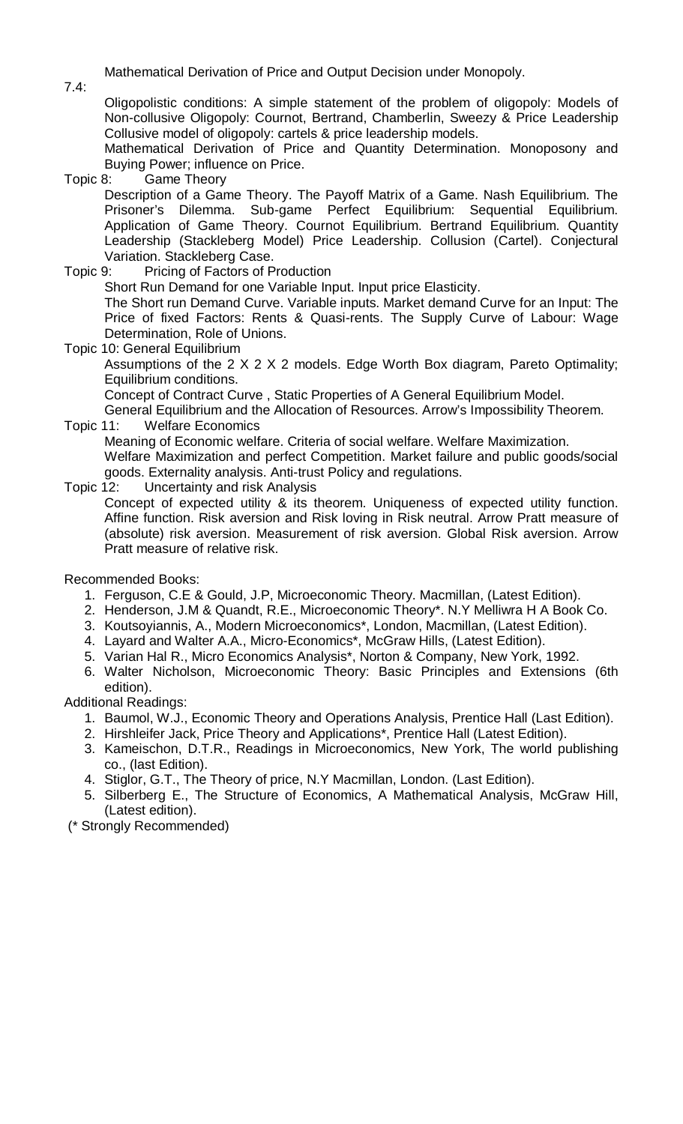Mathematical Derivation of Price and Output Decision under Monopoly.

7.4:

Oligopolistic conditions: A simple statement of the problem of oligopoly: Models of Non-collusive Oligopoly: Cournot, Bertrand, Chamberlin, Sweezy & Price Leadership Collusive model of oligopoly: cartels & price leadership models.

Mathematical Derivation of Price and Quantity Determination. Monoposony and Buying Power; influence on Price.

Topic 8: Game Theory

Description of a Game Theory. The Payoff Matrix of a Game. Nash Equilibrium. The Prisoner's Dilemma. Sub-game Perfect Equilibrium: Sequential Equilibrium. Application of Game Theory. Cournot Equilibrium. Bertrand Equilibrium. Quantity Leadership (Stackleberg Model) Price Leadership. Collusion (Cartel). Conjectural Variation. Stackleberg Case.

Topic 9: Pricing of Factors of Production

Short Run Demand for one Variable Input. Input price Elasticity.

The Short run Demand Curve. Variable inputs. Market demand Curve for an Input: The Price of fixed Factors: Rents & Quasi-rents. The Supply Curve of Labour: Wage Determination, Role of Unions.

Topic 10: General Equilibrium

Assumptions of the 2 X 2 X 2 models. Edge Worth Box diagram, Pareto Optimality; Equilibrium conditions.

Concept of Contract Curve , Static Properties of A General Equilibrium Model. General Equilibrium and the Allocation of Resources. Arrow's Impossibility Theorem.

Topic 11: Welfare Economics

Meaning of Economic welfare. Criteria of social welfare. Welfare Maximization. Welfare Maximization and perfect Competition. Market failure and public goods/social goods. Externality analysis. Anti-trust Policy and regulations.

Topic 12: Uncertainty and risk Analysis

Concept of expected utility & its theorem. Uniqueness of expected utility function. Affine function. Risk aversion and Risk loving in Risk neutral. Arrow Pratt measure of (absolute) risk aversion. Measurement of risk aversion. Global Risk aversion. Arrow Pratt measure of relative risk.

Recommended Books:

- 1. Ferguson, C.E & Gould, J.P, Microeconomic Theory. Macmillan, (Latest Edition).
- 2. Henderson, J.M & Quandt, R.E., Microeconomic Theory\*. N.Y Melliwra H A Book Co.
- 3. Koutsoyiannis, A., Modern Microeconomics\*, London, Macmillan, (Latest Edition).
- 4. Layard and Walter A.A., Micro-Economics\*, McGraw Hills, (Latest Edition).
- 5. Varian Hal R., Micro Economics Analysis\*, Norton & Company, New York, 1992.
- 6. Walter Nicholson, Microeconomic Theory: Basic Principles and Extensions (6th edition).

Additional Readings:

- 1. Baumol, W.J., Economic Theory and Operations Analysis, Prentice Hall (Last Edition).
- 2. Hirshleifer Jack, Price Theory and Applications\*, Prentice Hall (Latest Edition).
- 3. Kameischon, D.T.R., Readings in Microeconomics, New York, The world publishing co., (last Edition).
- 4. Stiglor, G.T., The Theory of price, N.Y Macmillan, London. (Last Edition).
- 5. Silberberg E., The Structure of Economics, A Mathematical Analysis, McGraw Hill, (Latest edition).

(\* Strongly Recommended)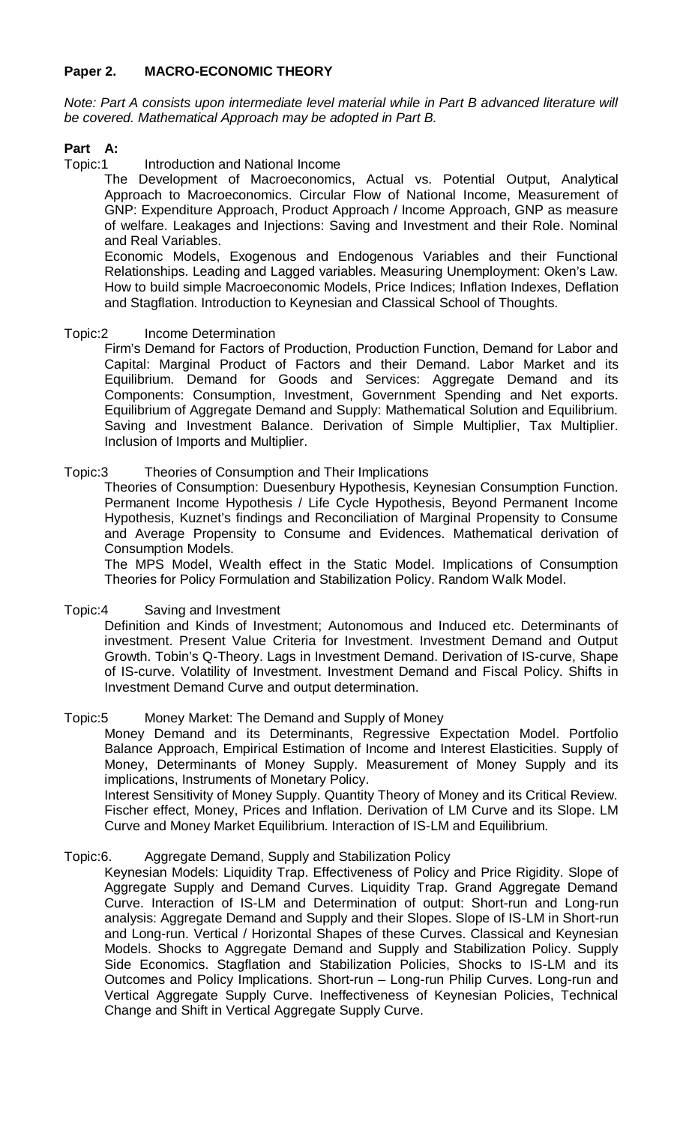# **Paper 2. MACRO-ECONOMIC THEORY**

*Note: Part A consists upon intermediate level material while in Part B advanced literature will be covered. Mathematical Approach may be adopted in Part B.*

# **Part A:**

### Topic:1 Introduction and National Income

The Development of Macroeconomics, Actual vs. Potential Output, Analytical Approach to Macroeconomics. Circular Flow of National Income, Measurement of GNP: Expenditure Approach, Product Approach / Income Approach, GNP as measure of welfare. Leakages and Injections: Saving and Investment and their Role. Nominal and Real Variables.

Economic Models, Exogenous and Endogenous Variables and their Functional Relationships. Leading and Lagged variables. Measuring Unemployment: Oken's Law. How to build simple Macroeconomic Models, Price Indices; Inflation Indexes, Deflation and Stagflation. Introduction to Keynesian and Classical School of Thoughts.

### Topic:2 Income Determination

Firm's Demand for Factors of Production, Production Function, Demand for Labor and Capital: Marginal Product of Factors and their Demand. Labor Market and its Equilibrium. Demand for Goods and Services: Aggregate Demand and its Components: Consumption, Investment, Government Spending and Net exports. Equilibrium of Aggregate Demand and Supply: Mathematical Solution and Equilibrium. Saving and Investment Balance. Derivation of Simple Multiplier, Tax Multiplier. Inclusion of Imports and Multiplier.

# Topic:3 Theories of Consumption and Their Implications

Theories of Consumption: Duesenbury Hypothesis, Keynesian Consumption Function. Permanent Income Hypothesis / Life Cycle Hypothesis, Beyond Permanent Income Hypothesis, Kuznet's findings and Reconciliation of Marginal Propensity to Consume and Average Propensity to Consume and Evidences. Mathematical derivation of Consumption Models.

The MPS Model, Wealth effect in the Static Model. Implications of Consumption Theories for Policy Formulation and Stabilization Policy. Random Walk Model.

# Topic:4 Saving and Investment

Definition and Kinds of Investment; Autonomous and Induced etc. Determinants of investment. Present Value Criteria for Investment. Investment Demand and Output Growth. Tobin's Q-Theory. Lags in Investment Demand. Derivation of IS-curve, Shape of IS-curve. Volatility of Investment. Investment Demand and Fiscal Policy. Shifts in Investment Demand Curve and output determination.

### Topic:5 Money Market: The Demand and Supply of Money

Money Demand and its Determinants, Regressive Expectation Model. Portfolio Balance Approach, Empirical Estimation of Income and Interest Elasticities. Supply of Money, Determinants of Money Supply. Measurement of Money Supply and its implications, Instruments of Monetary Policy.

Interest Sensitivity of Money Supply. Quantity Theory of Money and its Critical Review. Fischer effect, Money, Prices and Inflation. Derivation of LM Curve and its Slope. LM Curve and Money Market Equilibrium. Interaction of IS-LM and Equilibrium.

### Topic:6. Aggregate Demand, Supply and Stabilization Policy

Keynesian Models: Liquidity Trap. Effectiveness of Policy and Price Rigidity. Slope of Aggregate Supply and Demand Curves. Liquidity Trap. Grand Aggregate Demand Curve. Interaction of IS-LM and Determination of output: Short-run and Long-run analysis: Aggregate Demand and Supply and their Slopes. Slope of IS-LM in Short-run and Long-run. Vertical / Horizontal Shapes of these Curves. Classical and Keynesian Models. Shocks to Aggregate Demand and Supply and Stabilization Policy. Supply Side Economics. Stagflation and Stabilization Policies, Shocks to IS-LM and its Outcomes and Policy Implications. Short-run – Long-run Philip Curves. Long-run and Vertical Aggregate Supply Curve. Ineffectiveness of Keynesian Policies, Technical Change and Shift in Vertical Aggregate Supply Curve.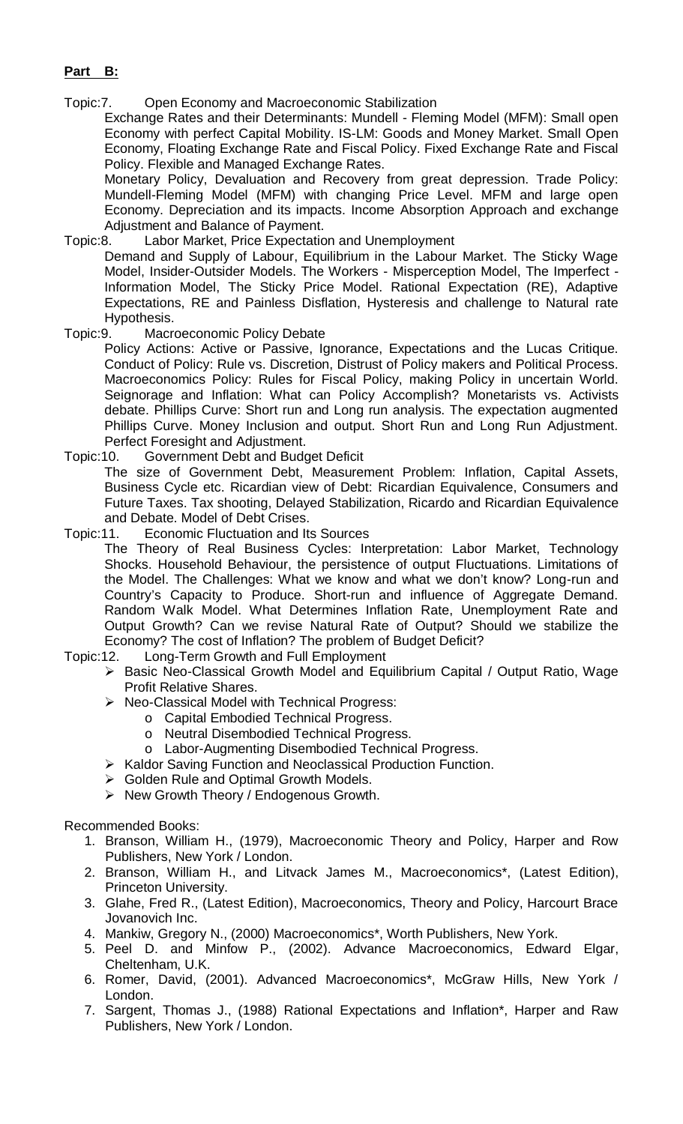# **Part B:**

Topic:7. Open Economy and Macroeconomic Stabilization

Exchange Rates and their Determinants: Mundell - Fleming Model (MFM): Small open Economy with perfect Capital Mobility. IS-LM: Goods and Money Market. Small Open Economy, Floating Exchange Rate and Fiscal Policy. Fixed Exchange Rate and Fiscal Policy. Flexible and Managed Exchange Rates.

Monetary Policy, Devaluation and Recovery from great depression. Trade Policy: Mundell-Fleming Model (MFM) with changing Price Level. MFM and large open Economy. Depreciation and its impacts. Income Absorption Approach and exchange Adjustment and Balance of Payment.

### Topic:8. Labor Market, Price Expectation and Unemployment

Demand and Supply of Labour, Equilibrium in the Labour Market. The Sticky Wage Model, Insider-Outsider Models. The Workers - Misperception Model, The Imperfect - Information Model, The Sticky Price Model. Rational Expectation (RE), Adaptive Expectations, RE and Painless Disflation, Hysteresis and challenge to Natural rate Hypothesis.

Topic:9. Macroeconomic Policy Debate

Policy Actions: Active or Passive, Ignorance, Expectations and the Lucas Critique. Conduct of Policy: Rule vs. Discretion, Distrust of Policy makers and Political Process. Macroeconomics Policy: Rules for Fiscal Policy, making Policy in uncertain World. Seignorage and Inflation: What can Policy Accomplish? Monetarists vs. Activists debate. Phillips Curve: Short run and Long run analysis. The expectation augmented Phillips Curve. Money Inclusion and output. Short Run and Long Run Adjustment. Perfect Foresight and Adjustment.

### Topic:10. Government Debt and Budget Deficit

The size of Government Debt, Measurement Problem: Inflation, Capital Assets, Business Cycle etc. Ricardian view of Debt: Ricardian Equivalence, Consumers and Future Taxes. Tax shooting, Delayed Stabilization, Ricardo and Ricardian Equivalence and Debate. Model of Debt Crises.

Topic:11. Economic Fluctuation and Its Sources

The Theory of Real Business Cycles: Interpretation: Labor Market, Technology Shocks. Household Behaviour, the persistence of output Fluctuations. Limitations of the Model. The Challenges: What we know and what we don't know? Long-run and Country's Capacity to Produce. Short-run and influence of Aggregate Demand. Random Walk Model. What Determines Inflation Rate, Unemployment Rate and Output Growth? Can we revise Natural Rate of Output? Should we stabilize the Economy? The cost of Inflation? The problem of Budget Deficit?

- Topic:12. Long-Term Growth and Full Employment
	- > Basic Neo-Classical Growth Model and Equilibrium Capital / Output Ratio, Wage Profit Relative Shares.
		- ▶ Neo-Classical Model with Technical Progress:
			- o Capital Embodied Technical Progress.
				- o Neutral Disembodied Technical Progress.
			- o Labor-Augmenting Disembodied Technical Progress.
		- $\triangleright$  Kaldor Saving Function and Neoclassical Production Function.
		- **► Golden Rule and Optimal Growth Models.**
		- $\triangleright$  New Growth Theory / Endogenous Growth.

Recommended Books:

- 1. Branson, William H., (1979), Macroeconomic Theory and Policy, Harper and Row Publishers, New York / London.
- 2. Branson, William H., and Litvack James M., Macroeconomics\*, (Latest Edition), Princeton University.
- 3. Glahe, Fred R., (Latest Edition), Macroeconomics, Theory and Policy, Harcourt Brace Jovanovich Inc.
- 4. Mankiw, Gregory N., (2000) Macroeconomics\*, Worth Publishers, New York.
- 5. Peel D. and Minfow P., (2002). Advance Macroeconomics, Edward Elgar, Cheltenham, U.K.
- 6. Romer, David, (2001). Advanced Macroeconomics\*, McGraw Hills, New York / London.
- 7. Sargent, Thomas J., (1988) Rational Expectations and Inflation\*, Harper and Raw Publishers, New York / London.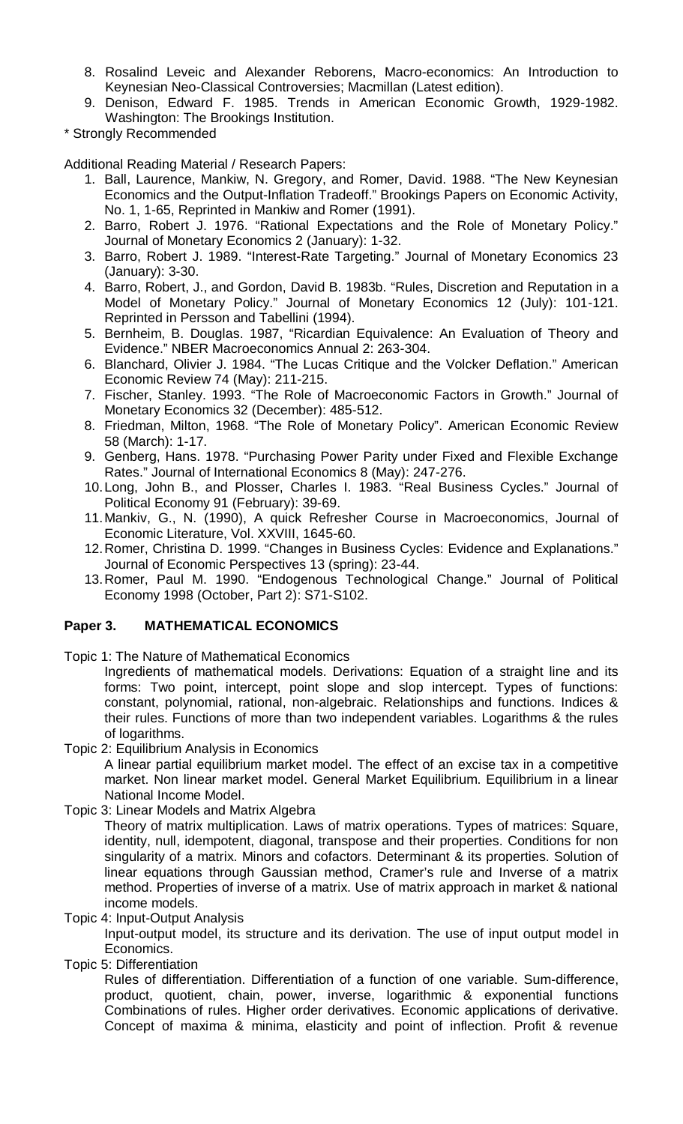- 8. Rosalind Leveic and Alexander Reborens, Macro-economics: An Introduction to Keynesian Neo-Classical Controversies; Macmillan (Latest edition).
- 9. Denison, Edward F. 1985. Trends in American Economic Growth, 1929-1982. Washington: The Brookings Institution.
- \* Strongly Recommended

Additional Reading Material / Research Papers:

- 1. Ball, Laurence, Mankiw, N. Gregory, and Romer, David. 1988. "The New Keynesian Economics and the Output-Inflation Tradeoff." Brookings Papers on Economic Activity, No. 1, 1-65, Reprinted in Mankiw and Romer (1991).
- 2. Barro, Robert J. 1976. "Rational Expectations and the Role of Monetary Policy." Journal of Monetary Economics 2 (January): 1-32.
- 3. Barro, Robert J. 1989. "Interest-Rate Targeting." Journal of Monetary Economics 23 (January): 3-30.
- 4. Barro, Robert, J., and Gordon, David B. 1983b. "Rules, Discretion and Reputation in a Model of Monetary Policy." Journal of Monetary Economics 12 (July): 101-121. Reprinted in Persson and Tabellini (1994).
- 5. Bernheim, B. Douglas. 1987, "Ricardian Equivalence: An Evaluation of Theory and Evidence." NBER Macroeconomics Annual 2: 263-304.
- 6. Blanchard, Olivier J. 1984. "The Lucas Critique and the Volcker Deflation." American Economic Review 74 (May): 211-215.
- 7. Fischer, Stanley. 1993. "The Role of Macroeconomic Factors in Growth." Journal of Monetary Economics 32 (December): 485-512.
- 8. Friedman, Milton, 1968. "The Role of Monetary Policy". American Economic Review 58 (March): 1-17.
- 9. Genberg, Hans. 1978. "Purchasing Power Parity under Fixed and Flexible Exchange Rates." Journal of International Economics 8 (May): 247-276.
- 10.Long, John B., and Plosser, Charles I. 1983. "Real Business Cycles." Journal of Political Economy 91 (February): 39-69.
- 11.Mankiv, G., N. (1990), A quick Refresher Course in Macroeconomics, Journal of Economic Literature, Vol. XXVIII, 1645-60.
- 12.Romer, Christina D. 1999. "Changes in Business Cycles: Evidence and Explanations." Journal of Economic Perspectives 13 (spring): 23-44.
- 13.Romer, Paul M. 1990. "Endogenous Technological Change." Journal of Political Economy 1998 (October, Part 2): S71-S102.

# **Paper 3. MATHEMATICAL ECONOMICS**

Topic 1: The Nature of Mathematical Economics

Ingredients of mathematical models. Derivations: Equation of a straight line and its forms: Two point, intercept, point slope and slop intercept. Types of functions: constant, polynomial, rational, non-algebraic. Relationships and functions. Indices & their rules. Functions of more than two independent variables. Logarithms & the rules of logarithms.

Topic 2: Equilibrium Analysis in Economics

A linear partial equilibrium market model. The effect of an excise tax in a competitive market. Non linear market model. General Market Equilibrium. Equilibrium in a linear National Income Model.

Topic 3: Linear Models and Matrix Algebra

Theory of matrix multiplication. Laws of matrix operations. Types of matrices: Square, identity, null, idempotent, diagonal, transpose and their properties. Conditions for non singularity of a matrix. Minors and cofactors. Determinant & its properties. Solution of linear equations through Gaussian method, Cramer's rule and Inverse of a matrix method. Properties of inverse of a matrix. Use of matrix approach in market & national income models.

Topic 4: Input-Output Analysis

Input-output model, its structure and its derivation. The use of input output model in Economics.

Topic 5: Differentiation

Rules of differentiation. Differentiation of a function of one variable. Sum-difference, product, quotient, chain, power, inverse, logarithmic & exponential functions Combinations of rules. Higher order derivatives. Economic applications of derivative. Concept of maxima & minima, elasticity and point of inflection. Profit & revenue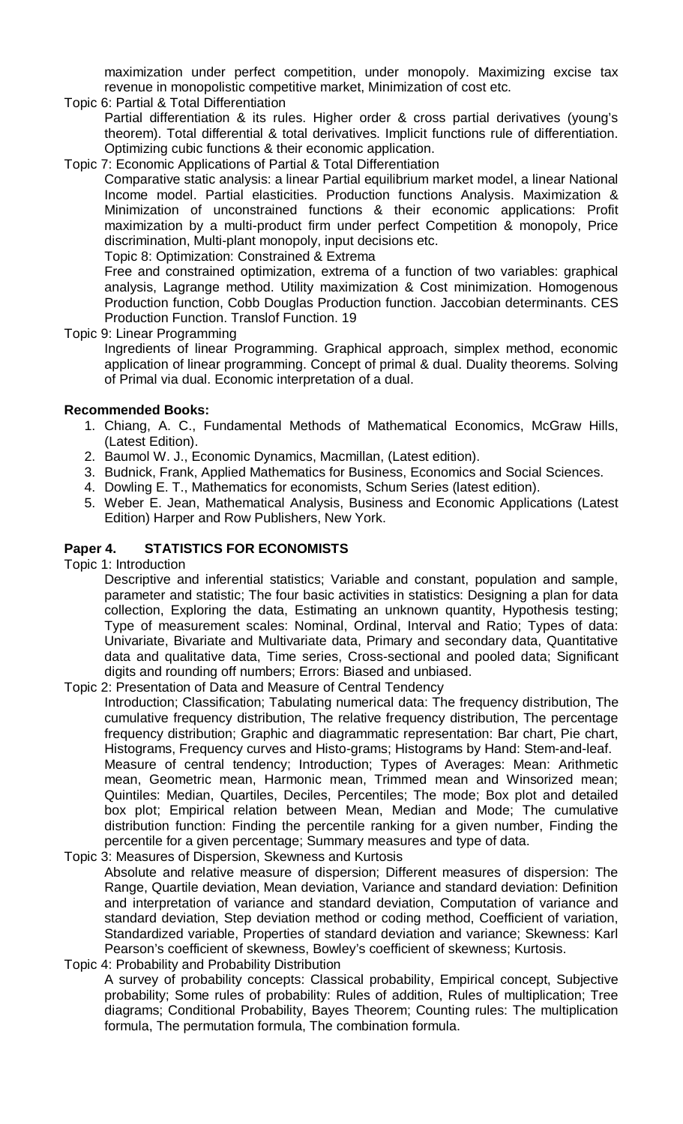maximization under perfect competition, under monopoly. Maximizing excise tax revenue in monopolistic competitive market, Minimization of cost etc.

Topic 6: Partial & Total Differentiation

Partial differentiation & its rules. Higher order & cross partial derivatives (young's theorem). Total differential & total derivatives. Implicit functions rule of differentiation. Optimizing cubic functions & their economic application.

Topic 7: Economic Applications of Partial & Total Differentiation

Comparative static analysis: a linear Partial equilibrium market model, a linear National Income model. Partial elasticities. Production functions Analysis. Maximization & Minimization of unconstrained functions & their economic applications: Profit maximization by a multi-product firm under perfect Competition & monopoly, Price discrimination, Multi-plant monopoly, input decisions etc.

Topic 8: Optimization: Constrained & Extrema

Free and constrained optimization, extrema of a function of two variables: graphical analysis, Lagrange method. Utility maximization & Cost minimization. Homogenous Production function, Cobb Douglas Production function. Jaccobian determinants. CES Production Function. Translof Function. 19

Topic 9: Linear Programming

Ingredients of linear Programming. Graphical approach, simplex method, economic application of linear programming. Concept of primal & dual. Duality theorems. Solving of Primal via dual. Economic interpretation of a dual.

# **Recommended Books:**

- 1. Chiang, A. C., Fundamental Methods of Mathematical Economics, McGraw Hills, (Latest Edition).
- 2. Baumol W. J., Economic Dynamics, Macmillan, (Latest edition).
- 3. Budnick, Frank, Applied Mathematics for Business, Economics and Social Sciences.
- 4. Dowling E. T., Mathematics for economists, Schum Series (latest edition).
- 5. Weber E. Jean, Mathematical Analysis, Business and Economic Applications (Latest Edition) Harper and Row Publishers, New York.

### **Paper 4. STATISTICS FOR ECONOMISTS**

Topic 1: Introduction

Descriptive and inferential statistics; Variable and constant, population and sample, parameter and statistic; The four basic activities in statistics: Designing a plan for data collection, Exploring the data, Estimating an unknown quantity, Hypothesis testing; Type of measurement scales: Nominal, Ordinal, Interval and Ratio; Types of data: Univariate, Bivariate and Multivariate data, Primary and secondary data, Quantitative data and qualitative data, Time series, Cross-sectional and pooled data; Significant digits and rounding off numbers; Errors: Biased and unbiased.

Topic 2: Presentation of Data and Measure of Central Tendency

Introduction; Classification; Tabulating numerical data: The frequency distribution, The cumulative frequency distribution, The relative frequency distribution, The percentage frequency distribution; Graphic and diagrammatic representation: Bar chart, Pie chart, Histograms, Frequency curves and Histo-grams; Histograms by Hand: Stem-and-leaf. Measure of central tendency; Introduction; Types of Averages: Mean: Arithmetic mean, Geometric mean, Harmonic mean, Trimmed mean and Winsorized mean; Quintiles: Median, Quartiles, Deciles, Percentiles; The mode; Box plot and detailed box plot; Empirical relation between Mean, Median and Mode; The cumulative distribution function: Finding the percentile ranking for a given number, Finding the percentile for a given percentage; Summary measures and type of data.

- Topic 3: Measures of Dispersion, Skewness and Kurtosis Absolute and relative measure of dispersion; Different measures of dispersion: The Range, Quartile deviation, Mean deviation, Variance and standard deviation: Definition and interpretation of variance and standard deviation, Computation of variance and standard deviation, Step deviation method or coding method, Coefficient of variation, Standardized variable, Properties of standard deviation and variance; Skewness: Karl Pearson's coefficient of skewness, Bowley's coefficient of skewness; Kurtosis.
- Topic 4: Probability and Probability Distribution A survey of probability concepts: Classical probability, Empirical concept, Subjective probability; Some rules of probability: Rules of addition, Rules of multiplication; Tree diagrams; Conditional Probability, Bayes Theorem; Counting rules: The multiplication formula, The permutation formula, The combination formula.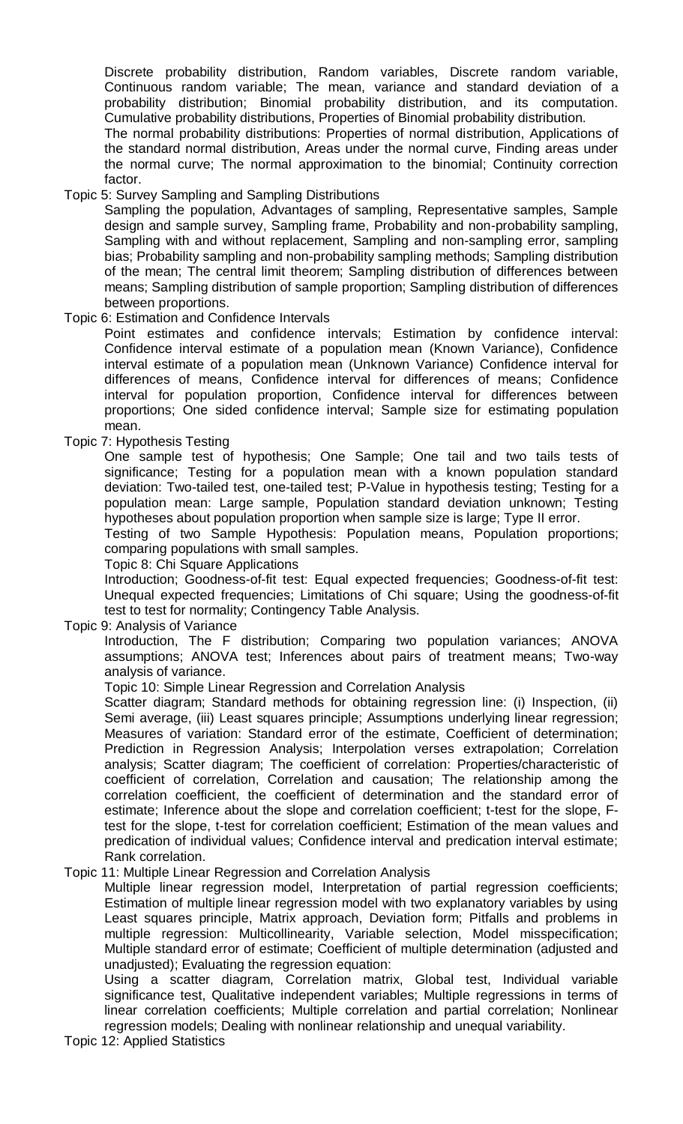Discrete probability distribution, Random variables, Discrete random variable, Continuous random variable; The mean, variance and standard deviation of a probability distribution; Binomial probability distribution, and its computation. Cumulative probability distributions, Properties of Binomial probability distribution.

The normal probability distributions: Properties of normal distribution, Applications of the standard normal distribution, Areas under the normal curve, Finding areas under the normal curve; The normal approximation to the binomial; Continuity correction factor.

Topic 5: Survey Sampling and Sampling Distributions

Sampling the population, Advantages of sampling, Representative samples, Sample design and sample survey, Sampling frame, Probability and non-probability sampling, Sampling with and without replacement, Sampling and non-sampling error, sampling bias; Probability sampling and non-probability sampling methods; Sampling distribution of the mean; The central limit theorem; Sampling distribution of differences between means; Sampling distribution of sample proportion; Sampling distribution of differences between proportions.

### Topic 6: Estimation and Confidence Intervals

Point estimates and confidence intervals; Estimation by confidence interval: Confidence interval estimate of a population mean (Known Variance), Confidence interval estimate of a population mean (Unknown Variance) Confidence interval for differences of means, Confidence interval for differences of means; Confidence interval for population proportion, Confidence interval for differences between proportions; One sided confidence interval; Sample size for estimating population mean.

Topic 7: Hypothesis Testing

One sample test of hypothesis; One Sample; One tail and two tails tests of significance; Testing for a population mean with a known population standard deviation: Two-tailed test, one-tailed test; P-Value in hypothesis testing; Testing for a population mean: Large sample, Population standard deviation unknown; Testing hypotheses about population proportion when sample size is large; Type II error.

Testing of two Sample Hypothesis: Population means, Population proportions; comparing populations with small samples.

Topic 8: Chi Square Applications

Introduction; Goodness-of-fit test: Equal expected frequencies; Goodness-of-fit test: Unequal expected frequencies; Limitations of Chi square; Using the goodness-of-fit test to test for normality; Contingency Table Analysis.

Topic 9: Analysis of Variance

Introduction, The F distribution; Comparing two population variances; ANOVA assumptions; ANOVA test; Inferences about pairs of treatment means; Two-way analysis of variance.

Topic 10: Simple Linear Regression and Correlation Analysis

Scatter diagram; Standard methods for obtaining regression line: (i) Inspection, (ii) Semi average, (iii) Least squares principle; Assumptions underlying linear regression; Measures of variation: Standard error of the estimate, Coefficient of determination; Prediction in Regression Analysis; Interpolation verses extrapolation; Correlation analysis; Scatter diagram; The coefficient of correlation: Properties/characteristic of coefficient of correlation, Correlation and causation; The relationship among the correlation coefficient, the coefficient of determination and the standard error of estimate; Inference about the slope and correlation coefficient; t-test for the slope, Ftest for the slope, t-test for correlation coefficient; Estimation of the mean values and predication of individual values; Confidence interval and predication interval estimate; Rank correlation.

Topic 11: Multiple Linear Regression and Correlation Analysis

Multiple linear regression model, Interpretation of partial regression coefficients; Estimation of multiple linear regression model with two explanatory variables by using Least squares principle, Matrix approach, Deviation form; Pitfalls and problems in multiple regression: Multicollinearity, Variable selection, Model misspecification; Multiple standard error of estimate; Coefficient of multiple determination (adjusted and unadjusted); Evaluating the regression equation:

Using a scatter diagram, Correlation matrix, Global test, Individual variable significance test, Qualitative independent variables; Multiple regressions in terms of linear correlation coefficients; Multiple correlation and partial correlation; Nonlinear regression models; Dealing with nonlinear relationship and unequal variability.

Topic 12: Applied Statistics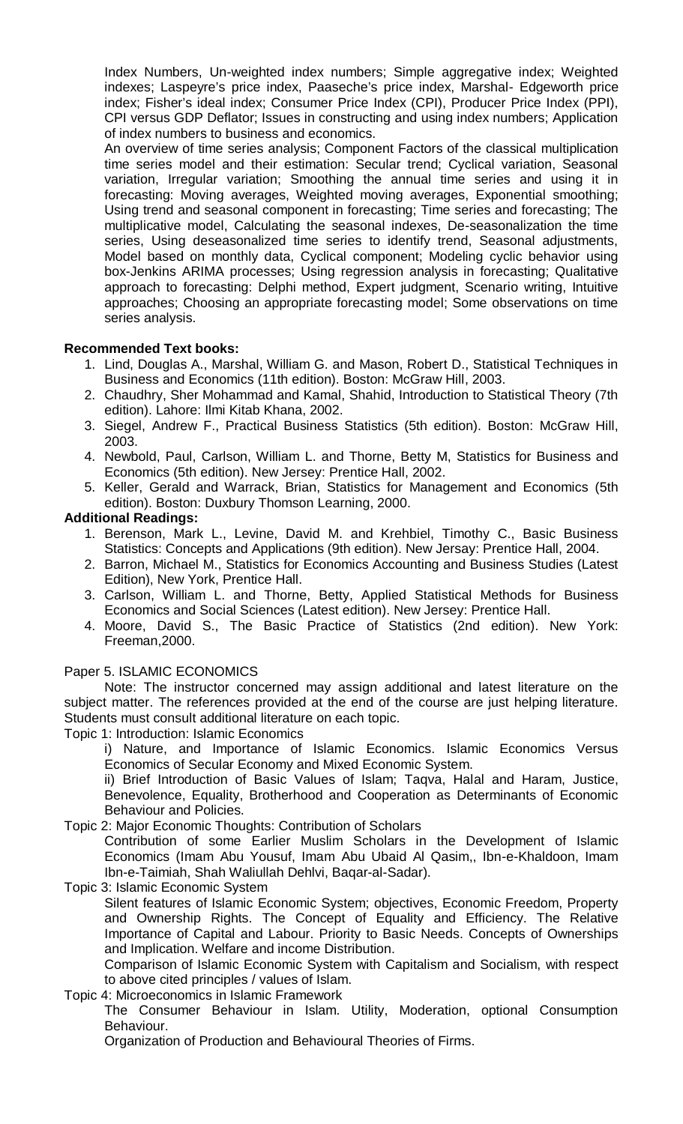Index Numbers, Un-weighted index numbers; Simple aggregative index; Weighted indexes; Laspeyre's price index, Paaseche's price index, Marshal- Edgeworth price index; Fisher's ideal index; Consumer Price Index (CPI), Producer Price Index (PPI), CPI versus GDP Deflator; Issues in constructing and using index numbers; Application of index numbers to business and economics.

An overview of time series analysis; Component Factors of the classical multiplication time series model and their estimation: Secular trend; Cyclical variation, Seasonal variation, Irregular variation; Smoothing the annual time series and using it in forecasting: Moving averages, Weighted moving averages, Exponential smoothing; Using trend and seasonal component in forecasting; Time series and forecasting; The multiplicative model, Calculating the seasonal indexes, De-seasonalization the time series, Using deseasonalized time series to identify trend, Seasonal adjustments, Model based on monthly data, Cyclical component; Modeling cyclic behavior using box-Jenkins ARIMA processes; Using regression analysis in forecasting; Qualitative approach to forecasting: Delphi method, Expert judgment, Scenario writing, Intuitive approaches; Choosing an appropriate forecasting model; Some observations on time series analysis.

# **Recommended Text books:**

- 1. Lind, Douglas A., Marshal, William G. and Mason, Robert D., Statistical Techniques in Business and Economics (11th edition). Boston: McGraw Hill, 2003.
- 2. Chaudhry, Sher Mohammad and Kamal, Shahid, Introduction to Statistical Theory (7th edition). Lahore: Ilmi Kitab Khana, 2002.
- 3. Siegel, Andrew F., Practical Business Statistics (5th edition). Boston: McGraw Hill, 2003.
- 4. Newbold, Paul, Carlson, William L. and Thorne, Betty M, Statistics for Business and Economics (5th edition). New Jersey: Prentice Hall, 2002.
- 5. Keller, Gerald and Warrack, Brian, Statistics for Management and Economics (5th edition). Boston: Duxbury Thomson Learning, 2000.

### **Additional Readings:**

- 1. Berenson, Mark L., Levine, David M. and Krehbiel, Timothy C., Basic Business Statistics: Concepts and Applications (9th edition). New Jersay: Prentice Hall, 2004.
- 2. Barron, Michael M., Statistics for Economics Accounting and Business Studies (Latest Edition), New York, Prentice Hall.
- 3. Carlson, William L. and Thorne, Betty, Applied Statistical Methods for Business Economics and Social Sciences (Latest edition). New Jersey: Prentice Hall.
- 4. Moore, David S., The Basic Practice of Statistics (2nd edition). New York: Freeman,2000.

### Paper 5. ISLAMIC ECONOMICS

Note: The instructor concerned may assign additional and latest literature on the subject matter. The references provided at the end of the course are just helping literature. Students must consult additional literature on each topic.

Topic 1: Introduction: Islamic Economics

i) Nature, and Importance of Islamic Economics. Islamic Economics Versus Economics of Secular Economy and Mixed Economic System.

ii) Brief Introduction of Basic Values of Islam; Taqva, Halal and Haram, Justice, Benevolence, Equality, Brotherhood and Cooperation as Determinants of Economic Behaviour and Policies.

Topic 2: Major Economic Thoughts: Contribution of Scholars

Contribution of some Earlier Muslim Scholars in the Development of Islamic Economics (Imam Abu Yousuf, Imam Abu Ubaid Al Qasim,, Ibn-e-Khaldoon, Imam Ibn-e-Taimiah, Shah Waliullah Dehlvi, Baqar-al-Sadar).

Topic 3: Islamic Economic System

Silent features of Islamic Economic System; objectives, Economic Freedom, Property and Ownership Rights. The Concept of Equality and Efficiency. The Relative Importance of Capital and Labour. Priority to Basic Needs. Concepts of Ownerships and Implication. Welfare and income Distribution.

Comparison of Islamic Economic System with Capitalism and Socialism, with respect to above cited principles / values of Islam.

# Topic 4: Microeconomics in Islamic Framework

The Consumer Behaviour in Islam. Utility, Moderation, optional Consumption Behaviour.

Organization of Production and Behavioural Theories of Firms.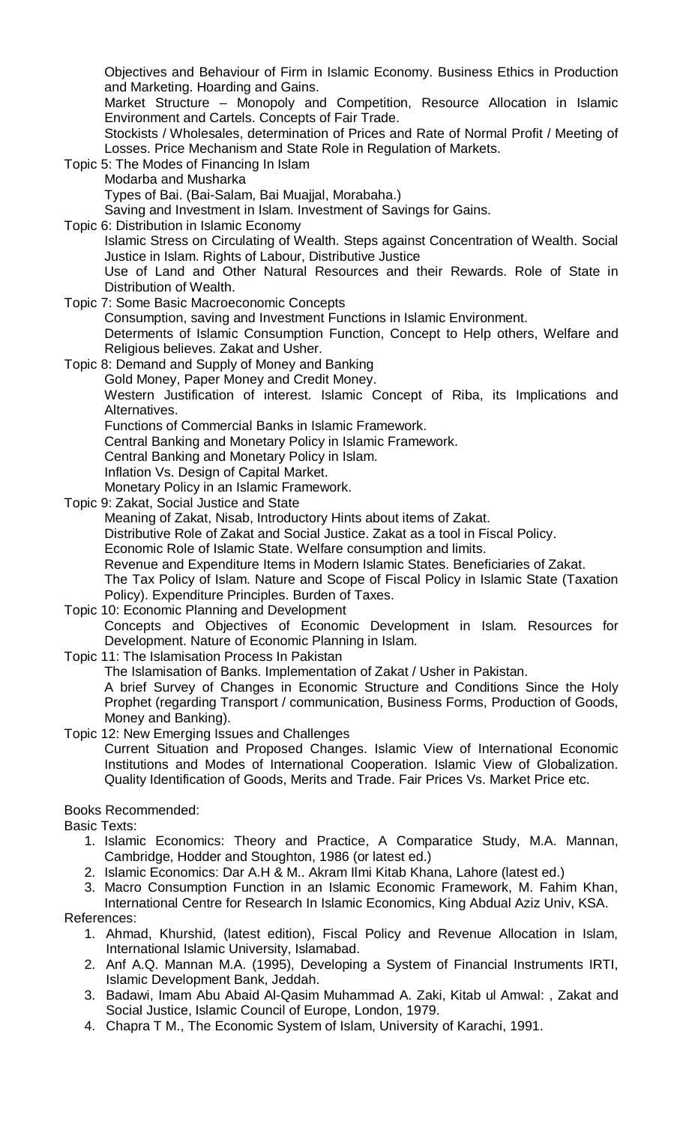Objectives and Behaviour of Firm in Islamic Economy. Business Ethics in Production and Marketing. Hoarding and Gains.

Market Structure – Monopoly and Competition, Resource Allocation in Islamic Environment and Cartels. Concepts of Fair Trade.

Stockists / Wholesales, determination of Prices and Rate of Normal Profit / Meeting of Losses. Price Mechanism and State Role in Regulation of Markets.

Topic 5: The Modes of Financing In Islam

Modarba and Musharka

Types of Bai. (Bai-Salam, Bai Muajjal, Morabaha.)

Saving and Investment in Islam. Investment of Savings for Gains.

Topic 6: Distribution in Islamic Economy

Islamic Stress on Circulating of Wealth. Steps against Concentration of Wealth. Social Justice in Islam. Rights of Labour, Distributive Justice

Use of Land and Other Natural Resources and their Rewards. Role of State in Distribution of Wealth.

Topic 7: Some Basic Macroeconomic Concepts

Consumption, saving and Investment Functions in Islamic Environment.

Determents of Islamic Consumption Function, Concept to Help others, Welfare and Religious believes. Zakat and Usher.

Topic 8: Demand and Supply of Money and Banking

Gold Money, Paper Money and Credit Money.

Western Justification of interest. Islamic Concept of Riba, its Implications and Alternatives.

Functions of Commercial Banks in Islamic Framework.

Central Banking and Monetary Policy in Islamic Framework.

Central Banking and Monetary Policy in Islam.

Inflation Vs. Design of Capital Market.

Monetary Policy in an Islamic Framework.

Topic 9: Zakat, Social Justice and State

Meaning of Zakat, Nisab, Introductory Hints about items of Zakat.

Distributive Role of Zakat and Social Justice. Zakat as a tool in Fiscal Policy.

Economic Role of Islamic State. Welfare consumption and limits.

Revenue and Expenditure Items in Modern Islamic States. Beneficiaries of Zakat.

The Tax Policy of Islam. Nature and Scope of Fiscal Policy in Islamic State (Taxation Policy). Expenditure Principles. Burden of Taxes.

Topic 10: Economic Planning and Development

Concepts and Objectives of Economic Development in Islam. Resources for Development. Nature of Economic Planning in Islam.

Topic 11: The Islamisation Process In Pakistan

The Islamisation of Banks. Implementation of Zakat / Usher in Pakistan.

A brief Survey of Changes in Economic Structure and Conditions Since the Holy Prophet (regarding Transport / communication, Business Forms, Production of Goods, Money and Banking).

Topic 12: New Emerging Issues and Challenges

Current Situation and Proposed Changes. Islamic View of International Economic Institutions and Modes of International Cooperation. Islamic View of Globalization. Quality Identification of Goods, Merits and Trade. Fair Prices Vs. Market Price etc.

Books Recommended:

Basic Texts:

- 1. Islamic Economics: Theory and Practice, A Comparatice Study, M.A. Mannan, Cambridge, Hodder and Stoughton, 1986 (or latest ed.)
- 2. Islamic Economics: Dar A.H & M.. Akram Ilmi Kitab Khana, Lahore (latest ed.)

3. Macro Consumption Function in an Islamic Economic Framework, M. Fahim Khan, International Centre for Research In Islamic Economics, King Abdual Aziz Univ, KSA.

References:

- 1. Ahmad, Khurshid, (latest edition), Fiscal Policy and Revenue Allocation in Islam, International Islamic University, Islamabad.
- 2. Anf A.Q. Mannan M.A. (1995), Developing a System of Financial Instruments IRTI, Islamic Development Bank, Jeddah.
- 3. Badawi, Imam Abu Abaid Al-Qasim Muhammad A. Zaki, Kitab ul Amwal: , Zakat and Social Justice, Islamic Council of Europe, London, 1979.
- 4. Chapra T M., The Economic System of Islam, University of Karachi, 1991.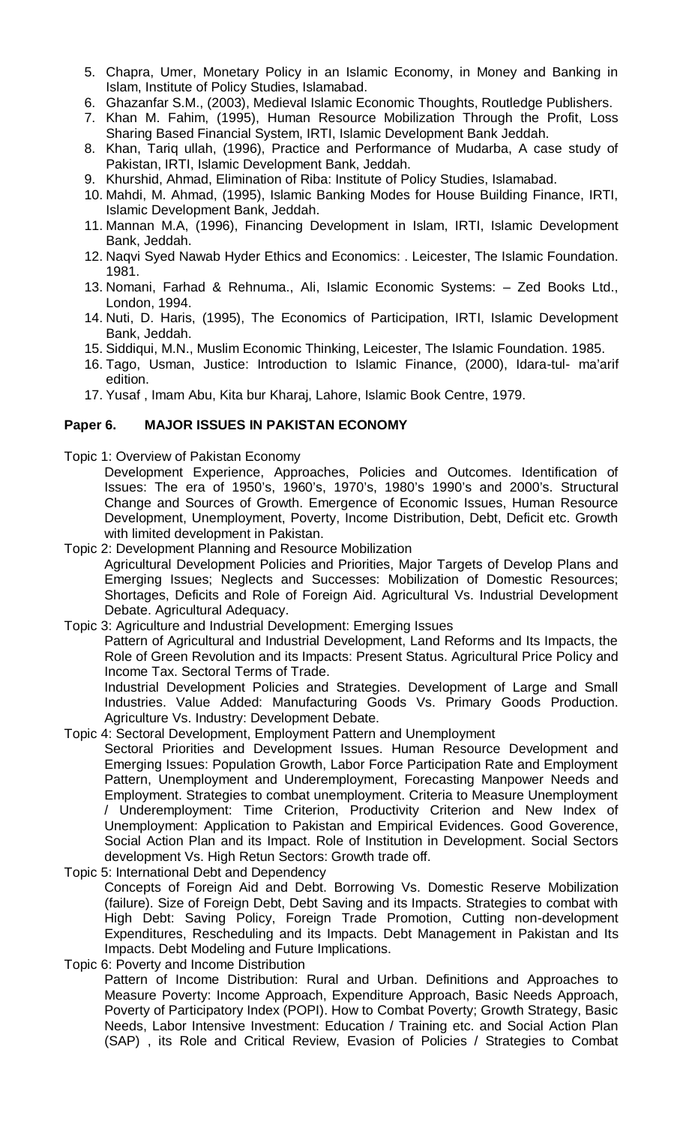- 5. Chapra, Umer, Monetary Policy in an Islamic Economy, in Money and Banking in Islam, Institute of Policy Studies, Islamabad.
- 6. Ghazanfar S.M., (2003), Medieval Islamic Economic Thoughts, Routledge Publishers.
- 7. Khan M. Fahim, (1995), Human Resource Mobilization Through the Profit, Loss Sharing Based Financial System, IRTI, Islamic Development Bank Jeddah.
- 8. Khan, Tariq ullah, (1996), Practice and Performance of Mudarba, A case study of Pakistan, IRTI, Islamic Development Bank, Jeddah.
- 9. Khurshid, Ahmad, Elimination of Riba: Institute of Policy Studies, Islamabad.
- 10. Mahdi, M. Ahmad, (1995), Islamic Banking Modes for House Building Finance, IRTI, Islamic Development Bank, Jeddah.
- 11. Mannan M.A, (1996), Financing Development in Islam, IRTI, Islamic Development Bank, Jeddah.
- 12. Naqvi Syed Nawab Hyder Ethics and Economics: . Leicester, The Islamic Foundation. 1981.
- 13. Nomani, Farhad & Rehnuma., Ali, Islamic Economic Systems: Zed Books Ltd., London, 1994.
- 14. Nuti, D. Haris, (1995), The Economics of Participation, IRTI, Islamic Development Bank, Jeddah.
- 15. Siddiqui, M.N., Muslim Economic Thinking, Leicester, The Islamic Foundation. 1985.
- 16. Tago, Usman, Justice: Introduction to Islamic Finance, (2000), Idara-tul- ma'arif edition.
- 17. Yusaf , Imam Abu, Kita bur Kharaj, Lahore, Islamic Book Centre, 1979.

### **Paper 6. MAJOR ISSUES IN PAKISTAN ECONOMY**

- Topic 1: Overview of Pakistan Economy
	- Development Experience, Approaches, Policies and Outcomes. Identification of Issues: The era of 1950's, 1960's, 1970's, 1980's 1990's and 2000's. Structural Change and Sources of Growth. Emergence of Economic Issues, Human Resource Development, Unemployment, Poverty, Income Distribution, Debt, Deficit etc. Growth with limited development in Pakistan.
- Topic 2: Development Planning and Resource Mobilization

Agricultural Development Policies and Priorities, Major Targets of Develop Plans and Emerging Issues; Neglects and Successes: Mobilization of Domestic Resources; Shortages, Deficits and Role of Foreign Aid. Agricultural Vs. Industrial Development Debate. Agricultural Adequacy.

Topic 3: Agriculture and Industrial Development: Emerging Issues

Pattern of Agricultural and Industrial Development, Land Reforms and Its Impacts, the Role of Green Revolution and its Impacts: Present Status. Agricultural Price Policy and Income Tax. Sectoral Terms of Trade.

Industrial Development Policies and Strategies. Development of Large and Small Industries. Value Added: Manufacturing Goods Vs. Primary Goods Production. Agriculture Vs. Industry: Development Debate.

Topic 4: Sectoral Development, Employment Pattern and Unemployment Sectoral Priorities and Development Issues. Human Resource Development and Emerging Issues: Population Growth, Labor Force Participation Rate and Employment Pattern, Unemployment and Underemployment, Forecasting Manpower Needs and Employment. Strategies to combat unemployment. Criteria to Measure Unemployment

/ Underemployment: Time Criterion, Productivity Criterion and New Index of Unemployment: Application to Pakistan and Empirical Evidences. Good Goverence, Social Action Plan and its Impact. Role of Institution in Development. Social Sectors development Vs. High Retun Sectors: Growth trade off.

Topic 5: International Debt and Dependency Concepts of Foreign Aid and Debt. Borrowing Vs. Domestic Reserve Mobilization (failure). Size of Foreign Debt, Debt Saving and its Impacts. Strategies to combat with High Debt: Saving Policy, Foreign Trade Promotion, Cutting non-development Expenditures, Rescheduling and its Impacts. Debt Management in Pakistan and Its Impacts. Debt Modeling and Future Implications.

Topic 6: Poverty and Income Distribution

Pattern of Income Distribution: Rural and Urban. Definitions and Approaches to Measure Poverty: Income Approach, Expenditure Approach, Basic Needs Approach, Poverty of Participatory Index (POPI). How to Combat Poverty; Growth Strategy, Basic Needs, Labor Intensive Investment: Education / Training etc. and Social Action Plan (SAP) , its Role and Critical Review, Evasion of Policies / Strategies to Combat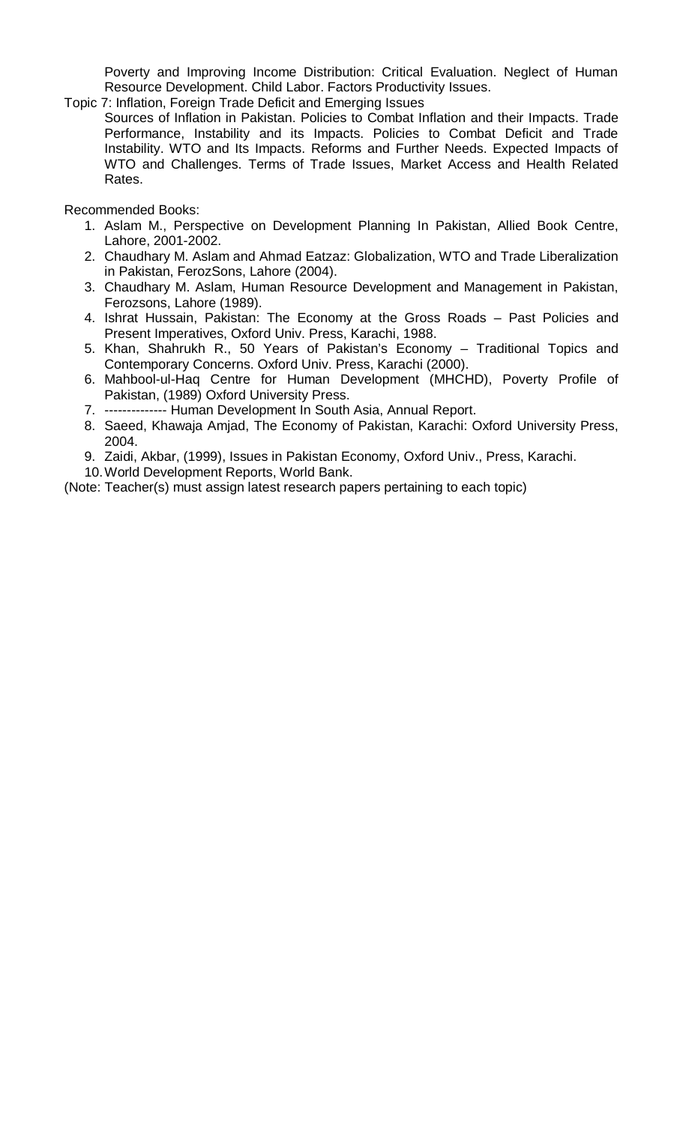Poverty and Improving Income Distribution: Critical Evaluation. Neglect of Human Resource Development. Child Labor. Factors Productivity Issues.

- Topic 7: Inflation, Foreign Trade Deficit and Emerging Issues
- Sources of Inflation in Pakistan. Policies to Combat Inflation and their Impacts. Trade Performance, Instability and its Impacts. Policies to Combat Deficit and Trade Instability. WTO and Its Impacts. Reforms and Further Needs. Expected Impacts of WTO and Challenges. Terms of Trade Issues, Market Access and Health Related Rates.

Recommended Books:

- 1. Aslam M., Perspective on Development Planning In Pakistan, Allied Book Centre, Lahore, 2001-2002.
- 2. Chaudhary M. Aslam and Ahmad Eatzaz: Globalization, WTO and Trade Liberalization in Pakistan, FerozSons, Lahore (2004).
- 3. Chaudhary M. Aslam, Human Resource Development and Management in Pakistan, Ferozsons, Lahore (1989).
- 4. Ishrat Hussain, Pakistan: The Economy at the Gross Roads Past Policies and Present Imperatives, Oxford Univ. Press, Karachi, 1988.
- 5. Khan, Shahrukh R., 50 Years of Pakistan's Economy Traditional Topics and Contemporary Concerns. Oxford Univ. Press, Karachi (2000).
- 6. Mahbool-ul-Haq Centre for Human Development (MHCHD), Poverty Profile of Pakistan, (1989) Oxford University Press.
- 7. -------------- Human Development In South Asia, Annual Report.
- 8. Saeed, Khawaja Amjad, The Economy of Pakistan, Karachi: Oxford University Press, 2004.
- 9. Zaidi, Akbar, (1999), Issues in Pakistan Economy, Oxford Univ., Press, Karachi.
- 10.World Development Reports, World Bank.

(Note: Teacher(s) must assign latest research papers pertaining to each topic)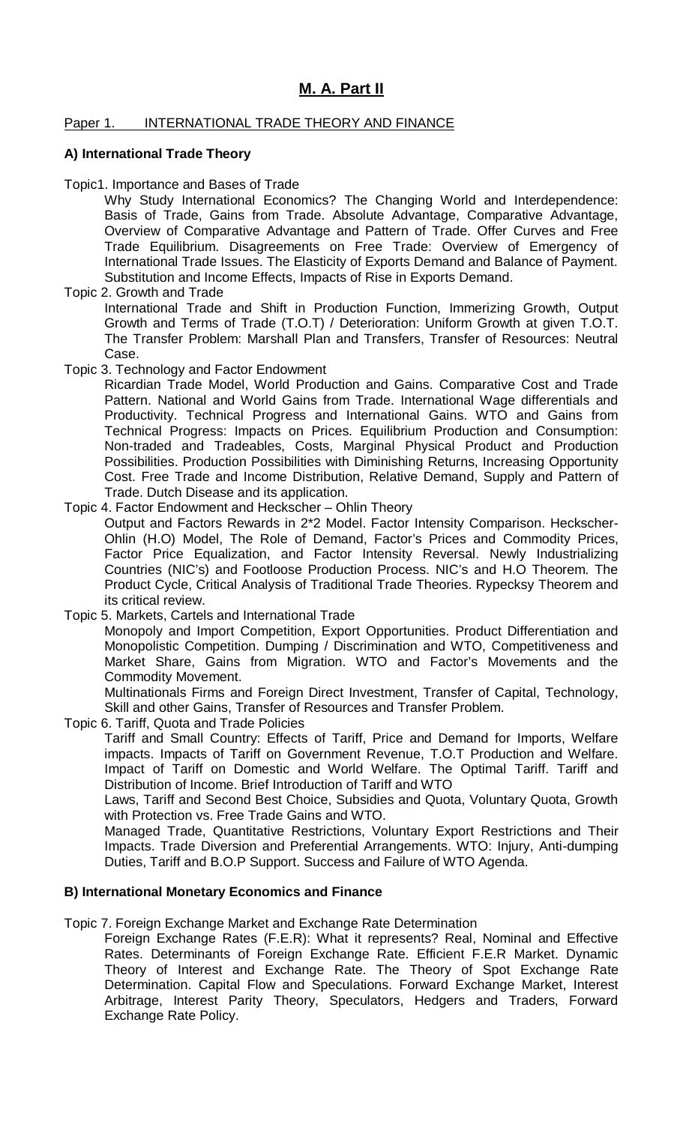# **M. A. Part II**

### Paper 1. INTERNATIONAL TRADE THEORY AND FINANCE

### **A) International Trade Theory**

Topic1. Importance and Bases of Trade

Why Study International Economics? The Changing World and Interdependence: Basis of Trade, Gains from Trade. Absolute Advantage, Comparative Advantage, Overview of Comparative Advantage and Pattern of Trade. Offer Curves and Free Trade Equilibrium. Disagreements on Free Trade: Overview of Emergency of International Trade Issues. The Elasticity of Exports Demand and Balance of Payment. Substitution and Income Effects, Impacts of Rise in Exports Demand.

Topic 2. Growth and Trade

International Trade and Shift in Production Function, Immerizing Growth, Output Growth and Terms of Trade (T.O.T) / Deterioration: Uniform Growth at given T.O.T. The Transfer Problem: Marshall Plan and Transfers, Transfer of Resources: Neutral Case.

Topic 3. Technology and Factor Endowment

Ricardian Trade Model, World Production and Gains. Comparative Cost and Trade Pattern. National and World Gains from Trade. International Wage differentials and Productivity. Technical Progress and International Gains. WTO and Gains from Technical Progress: Impacts on Prices. Equilibrium Production and Consumption: Non-traded and Tradeables, Costs, Marginal Physical Product and Production Possibilities. Production Possibilities with Diminishing Returns, Increasing Opportunity Cost. Free Trade and Income Distribution, Relative Demand, Supply and Pattern of Trade. Dutch Disease and its application.

Topic 4. Factor Endowment and Heckscher – Ohlin Theory Output and Factors Rewards in 2\*2 Model. Factor Intensity Comparison. Heckscher-Ohlin (H.O) Model, The Role of Demand, Factor's Prices and Commodity Prices, Factor Price Equalization, and Factor Intensity Reversal. Newly Industrializing Countries (NIC's) and Footloose Production Process. NIC's and H.O Theorem. The Product Cycle, Critical Analysis of Traditional Trade Theories. Rypecksy Theorem and its critical review.

Topic 5. Markets, Cartels and International Trade

Monopoly and Import Competition, Export Opportunities. Product Differentiation and Monopolistic Competition. Dumping / Discrimination and WTO, Competitiveness and Market Share, Gains from Migration. WTO and Factor's Movements and the Commodity Movement.

Multinationals Firms and Foreign Direct Investment, Transfer of Capital, Technology, Skill and other Gains, Transfer of Resources and Transfer Problem.

Topic 6. Tariff, Quota and Trade Policies

Tariff and Small Country: Effects of Tariff, Price and Demand for Imports, Welfare impacts. Impacts of Tariff on Government Revenue, T.O.T Production and Welfare. Impact of Tariff on Domestic and World Welfare. The Optimal Tariff. Tariff and Distribution of Income. Brief Introduction of Tariff and WTO

Laws, Tariff and Second Best Choice, Subsidies and Quota, Voluntary Quota, Growth with Protection vs. Free Trade Gains and WTO.

Managed Trade, Quantitative Restrictions, Voluntary Export Restrictions and Their Impacts. Trade Diversion and Preferential Arrangements. WTO: Injury, Anti-dumping Duties, Tariff and B.O.P Support. Success and Failure of WTO Agenda.

### **B) International Monetary Economics and Finance**

Topic 7. Foreign Exchange Market and Exchange Rate Determination

Foreign Exchange Rates (F.E.R): What it represents? Real, Nominal and Effective Rates. Determinants of Foreign Exchange Rate. Efficient F.E.R Market. Dynamic Theory of Interest and Exchange Rate. The Theory of Spot Exchange Rate Determination. Capital Flow and Speculations. Forward Exchange Market, Interest Arbitrage, Interest Parity Theory, Speculators, Hedgers and Traders, Forward Exchange Rate Policy.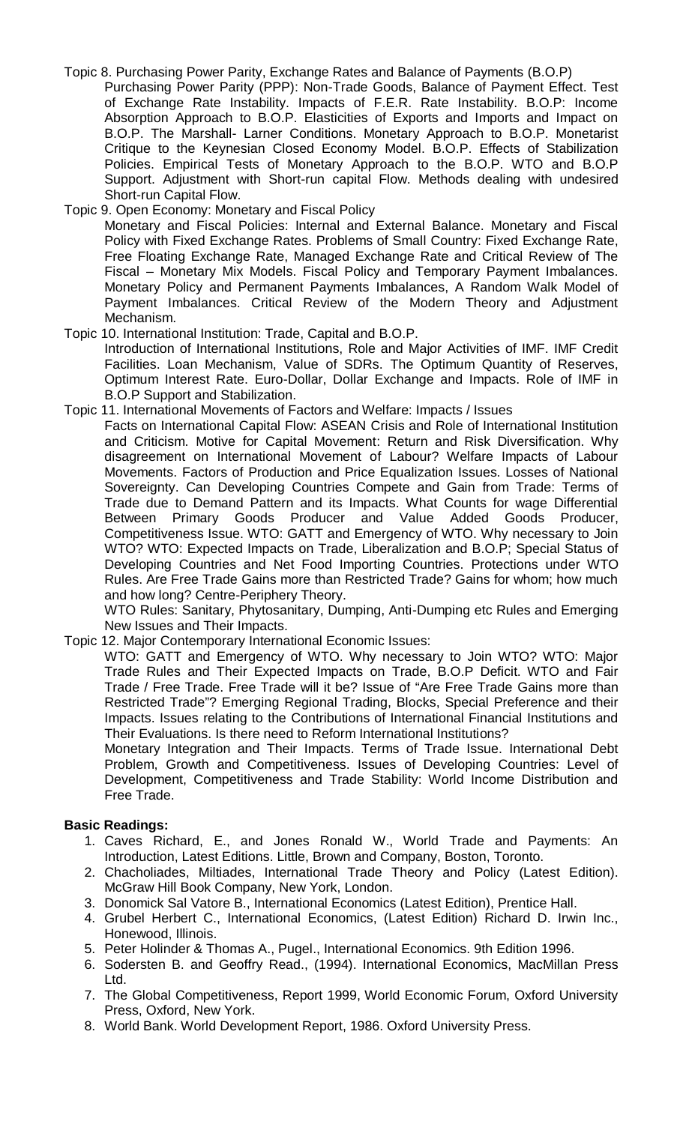# Topic 8. Purchasing Power Parity, Exchange Rates and Balance of Payments (B.O.P)

Purchasing Power Parity (PPP): Non-Trade Goods, Balance of Payment Effect. Test of Exchange Rate Instability. Impacts of F.E.R. Rate Instability. B.O.P: Income Absorption Approach to B.O.P. Elasticities of Exports and Imports and Impact on B.O.P. The Marshall- Larner Conditions. Monetary Approach to B.O.P. Monetarist Critique to the Keynesian Closed Economy Model. B.O.P. Effects of Stabilization Policies. Empirical Tests of Monetary Approach to the B.O.P. WTO and B.O.P Support. Adjustment with Short-run capital Flow. Methods dealing with undesired Short-run Capital Flow.

Topic 9. Open Economy: Monetary and Fiscal Policy Monetary and Fiscal Policies: Internal and External Balance. Monetary and Fiscal Policy with Fixed Exchange Rates. Problems of Small Country: Fixed Exchange Rate, Free Floating Exchange Rate, Managed Exchange Rate and Critical Review of The Fiscal – Monetary Mix Models. Fiscal Policy and Temporary Payment Imbalances. Monetary Policy and Permanent Payments Imbalances, A Random Walk Model of Payment Imbalances. Critical Review of the Modern Theory and Adjustment Mechanism.

Topic 10. International Institution: Trade, Capital and B.O.P. Introduction of International Institutions, Role and Major Activities of IMF. IMF Credit Facilities. Loan Mechanism, Value of SDRs. The Optimum Quantity of Reserves, Optimum Interest Rate. Euro-Dollar, Dollar Exchange and Impacts. Role of IMF in B.O.P Support and Stabilization.

### Topic 11. International Movements of Factors and Welfare: Impacts / Issues

Facts on International Capital Flow: ASEAN Crisis and Role of International Institution and Criticism. Motive for Capital Movement: Return and Risk Diversification. Why disagreement on International Movement of Labour? Welfare Impacts of Labour Movements. Factors of Production and Price Equalization Issues. Losses of National Sovereignty. Can Developing Countries Compete and Gain from Trade: Terms of Trade due to Demand Pattern and its Impacts. What Counts for wage Differential<br>Between Primary Goods Producer and Value Added Goods Producer. Primary Goods Producer and Value Added Goods Producer, Competitiveness Issue. WTO: GATT and Emergency of WTO. Why necessary to Join WTO? WTO: Expected Impacts on Trade, Liberalization and B.O.P; Special Status of Developing Countries and Net Food Importing Countries. Protections under WTO Rules. Are Free Trade Gains more than Restricted Trade? Gains for whom; how much and how long? Centre-Periphery Theory.

WTO Rules: Sanitary, Phytosanitary, Dumping, Anti-Dumping etc Rules and Emerging New Issues and Their Impacts.

Topic 12. Major Contemporary International Economic Issues:

WTO: GATT and Emergency of WTO. Why necessary to Join WTO? WTO: Major Trade Rules and Their Expected Impacts on Trade, B.O.P Deficit. WTO and Fair Trade / Free Trade. Free Trade will it be? Issue of "Are Free Trade Gains more than Restricted Trade"? Emerging Regional Trading, Blocks, Special Preference and their Impacts. Issues relating to the Contributions of International Financial Institutions and Their Evaluations. Is there need to Reform International Institutions?

Monetary Integration and Their Impacts. Terms of Trade Issue. International Debt Problem, Growth and Competitiveness. Issues of Developing Countries: Level of Development, Competitiveness and Trade Stability: World Income Distribution and Free Trade.

# **Basic Readings:**

- 1. Caves Richard, E., and Jones Ronald W., World Trade and Payments: An Introduction, Latest Editions. Little, Brown and Company, Boston, Toronto.
- 2. Chacholiades, Miltiades, International Trade Theory and Policy (Latest Edition). McGraw Hill Book Company, New York, London.
- 3. Donomick Sal Vatore B., International Economics (Latest Edition), Prentice Hall.
- 4. Grubel Herbert C., International Economics, (Latest Edition) Richard D. Irwin Inc., Honewood, Illinois.
- 5. Peter Holinder & Thomas A., Pugel., International Economics. 9th Edition 1996.
- 6. Sodersten B. and Geoffry Read., (1994). International Economics, MacMillan Press Ltd.
- 7. The Global Competitiveness, Report 1999, World Economic Forum, Oxford University Press, Oxford, New York.
- 8. World Bank. World Development Report, 1986. Oxford University Press.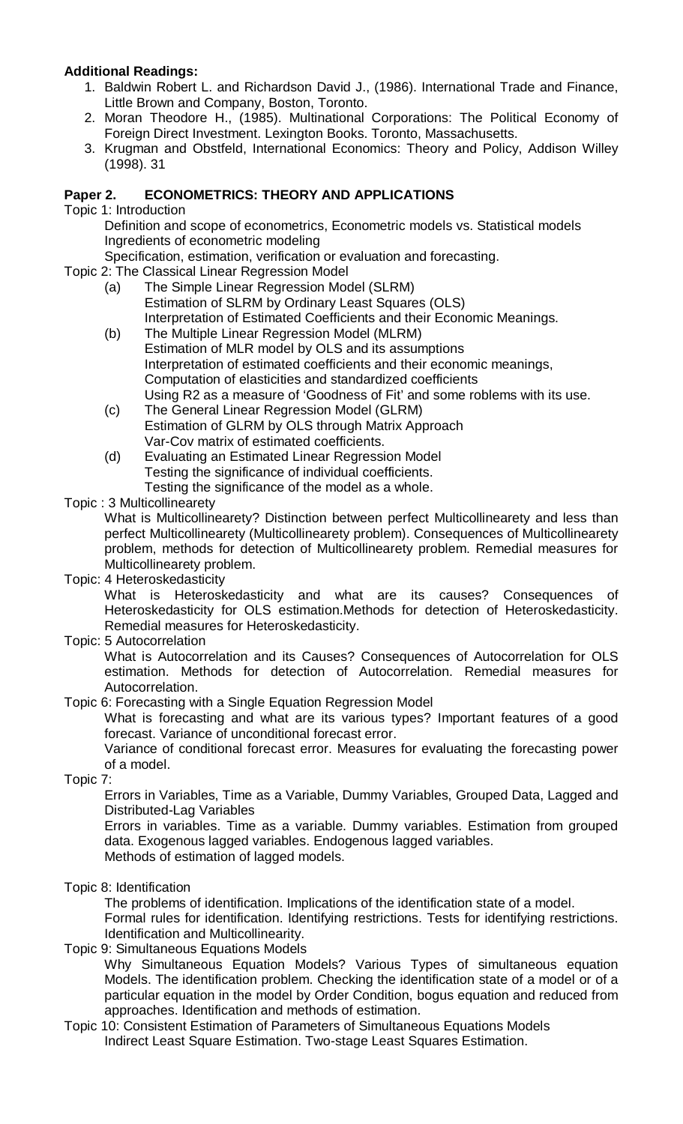# **Additional Readings:**

- 1. Baldwin Robert L. and Richardson David J., (1986). International Trade and Finance, Little Brown and Company, Boston, Toronto.
- 2. Moran Theodore H., (1985). Multinational Corporations: The Political Economy of Foreign Direct Investment. Lexington Books. Toronto, Massachusetts.
- 3. Krugman and Obstfeld, International Economics: Theory and Policy, Addison Willey (1998). 31

# **Paper 2. ECONOMETRICS: THEORY AND APPLICATIONS**

Topic 1: Introduction

Definition and scope of econometrics, Econometric models vs. Statistical models Ingredients of econometric modeling

Specification, estimation, verification or evaluation and forecasting.

- Topic 2: The Classical Linear Regression Model
	- (a) The Simple Linear Regression Model (SLRM) Estimation of SLRM by Ordinary Least Squares (OLS) Interpretation of Estimated Coefficients and their Economic Meanings.
	- (b) The Multiple Linear Regression Model (MLRM) Estimation of MLR model by OLS and its assumptions Interpretation of estimated coefficients and their economic meanings, Computation of elasticities and standardized coefficients Using R2 as a measure of 'Goodness of Fit' and some roblems with its use.
	- (c) The General Linear Regression Model (GLRM) Estimation of GLRM by OLS through Matrix Approach Var-Cov matrix of estimated coefficients.
	- (d) Evaluating an Estimated Linear Regression Model Testing the significance of individual coefficients. Testing the significance of the model as a whole.

# Topic : 3 Multicollinearety

What is Multicollinearety? Distinction between perfect Multicollinearety and less than perfect Multicollinearety (Multicollinearety problem). Consequences of Multicollinearety problem, methods for detection of Multicollinearety problem. Remedial measures for Multicollinearety problem.

Topic: 4 Heteroskedasticity

What is Heteroskedasticity and what are its causes? Consequences of Heteroskedasticity for OLS estimation.Methods for detection of Heteroskedasticity. Remedial measures for Heteroskedasticity.

Topic: 5 Autocorrelation

What is Autocorrelation and its Causes? Consequences of Autocorrelation for OLS estimation. Methods for detection of Autocorrelation. Remedial measures for Autocorrelation.

# Topic 6: Forecasting with a Single Equation Regression Model

What is forecasting and what are its various types? Important features of a good forecast. Variance of unconditional forecast error.

Variance of conditional forecast error. Measures for evaluating the forecasting power of a model.

Topic 7:

Errors in Variables, Time as a Variable, Dummy Variables, Grouped Data, Lagged and Distributed-Lag Variables

Errors in variables. Time as a variable. Dummy variables. Estimation from grouped data. Exogenous lagged variables. Endogenous lagged variables. Methods of estimation of lagged models.

Topic 8: Identification

The problems of identification. Implications of the identification state of a model. Formal rules for identification. Identifying restrictions. Tests for identifying restrictions. Identification and Multicollinearity.

Topic 9: Simultaneous Equations Models

Why Simultaneous Equation Models? Various Types of simultaneous equation Models. The identification problem. Checking the identification state of a model or of a particular equation in the model by Order Condition, bogus equation and reduced from approaches. Identification and methods of estimation.

Topic 10: Consistent Estimation of Parameters of Simultaneous Equations Models Indirect Least Square Estimation. Two-stage Least Squares Estimation.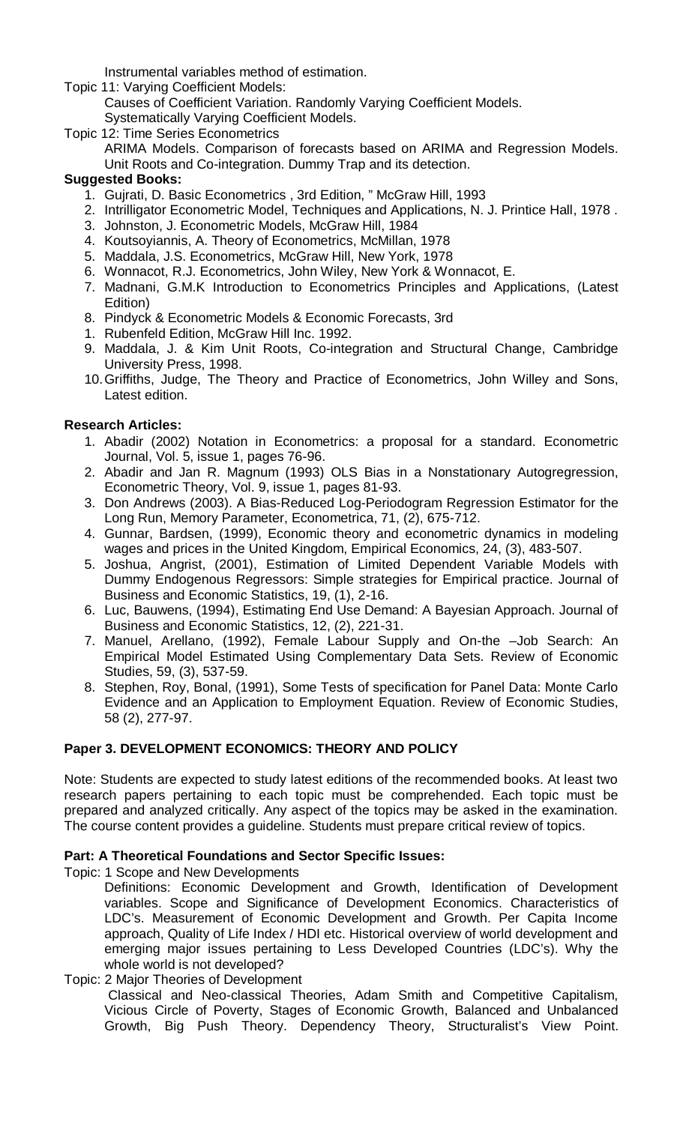Instrumental variables method of estimation.

- Topic 11: Varying Coefficient Models: Causes of Coefficient Variation. Randomly Varying Coefficient Models. Systematically Varying Coefficient Models.
- Topic 12: Time Series Econometrics
	- ARIMA Models. Comparison of forecasts based on ARIMA and Regression Models. Unit Roots and Co-integration. Dummy Trap and its detection.

# **Suggested Books:**

- 1. Gujrati, D. Basic Econometrics , 3rd Edition, " McGraw Hill, 1993
- 2. Intrilligator Econometric Model, Techniques and Applications, N. J. Printice Hall, 1978 .
- 3. Johnston, J. Econometric Models, McGraw Hill, 1984
- 4. Koutsoyiannis, A. Theory of Econometrics, McMillan, 1978
- 5. Maddala, J.S. Econometrics, McGraw Hill, New York, 1978
- 6. Wonnacot, R.J. Econometrics, John Wiley, New York & Wonnacot, E.
- 7. Madnani, G.M.K Introduction to Econometrics Principles and Applications, (Latest Edition)
- 8. Pindyck & Econometric Models & Economic Forecasts, 3rd
- 1. Rubenfeld Edition, McGraw Hill Inc. 1992.
- 9. Maddala, J. & Kim Unit Roots, Co-integration and Structural Change, Cambridge University Press, 1998.
- 10.Griffiths, Judge, The Theory and Practice of Econometrics, John Willey and Sons, Latest edition.

# **Research Articles:**

- 1. Abadir (2002) Notation in Econometrics: a proposal for a standard. Econometric Journal, Vol. 5, issue 1, pages 76-96.
- 2. Abadir and Jan R. Magnum (1993) OLS Bias in a Nonstationary Autogregression, Econometric Theory, Vol. 9, issue 1, pages 81-93.
- 3. Don Andrews (2003). A Bias-Reduced Log-Periodogram Regression Estimator for the Long Run, Memory Parameter, Econometrica, 71, (2), 675-712.
- 4. Gunnar, Bardsen, (1999), Economic theory and econometric dynamics in modeling wages and prices in the United Kingdom, Empirical Economics, 24, (3), 483-507.
- 5. Joshua, Angrist, (2001), Estimation of Limited Dependent Variable Models with Dummy Endogenous Regressors: Simple strategies for Empirical practice. Journal of Business and Economic Statistics, 19, (1), 2-16.
- 6. Luc, Bauwens, (1994), Estimating End Use Demand: A Bayesian Approach. Journal of Business and Economic Statistics, 12, (2), 221-31.
- 7. Manuel, Arellano, (1992), Female Labour Supply and On-the –Job Search: An Empirical Model Estimated Using Complementary Data Sets. Review of Economic Studies, 59, (3), 537-59.
- 8. Stephen, Roy, Bonal, (1991), Some Tests of specification for Panel Data: Monte Carlo Evidence and an Application to Employment Equation. Review of Economic Studies, 58 (2), 277-97.

# **Paper 3. DEVELOPMENT ECONOMICS: THEORY AND POLICY**

Note: Students are expected to study latest editions of the recommended books. At least two research papers pertaining to each topic must be comprehended. Each topic must be prepared and analyzed critically. Any aspect of the topics may be asked in the examination. The course content provides a guideline. Students must prepare critical review of topics.

# **Part: A Theoretical Foundations and Sector Specific Issues:**

Topic: 1 Scope and New Developments

Definitions: Economic Development and Growth, Identification of Development variables. Scope and Significance of Development Economics. Characteristics of LDC's. Measurement of Economic Development and Growth. Per Capita Income approach, Quality of Life Index / HDI etc. Historical overview of world development and emerging major issues pertaining to Less Developed Countries (LDC's). Why the whole world is not developed?

# Topic: 2 Major Theories of Development

Classical and Neo-classical Theories, Adam Smith and Competitive Capitalism, Vicious Circle of Poverty, Stages of Economic Growth, Balanced and Unbalanced Growth, Big Push Theory. Dependency Theory, Structuralist's View Point.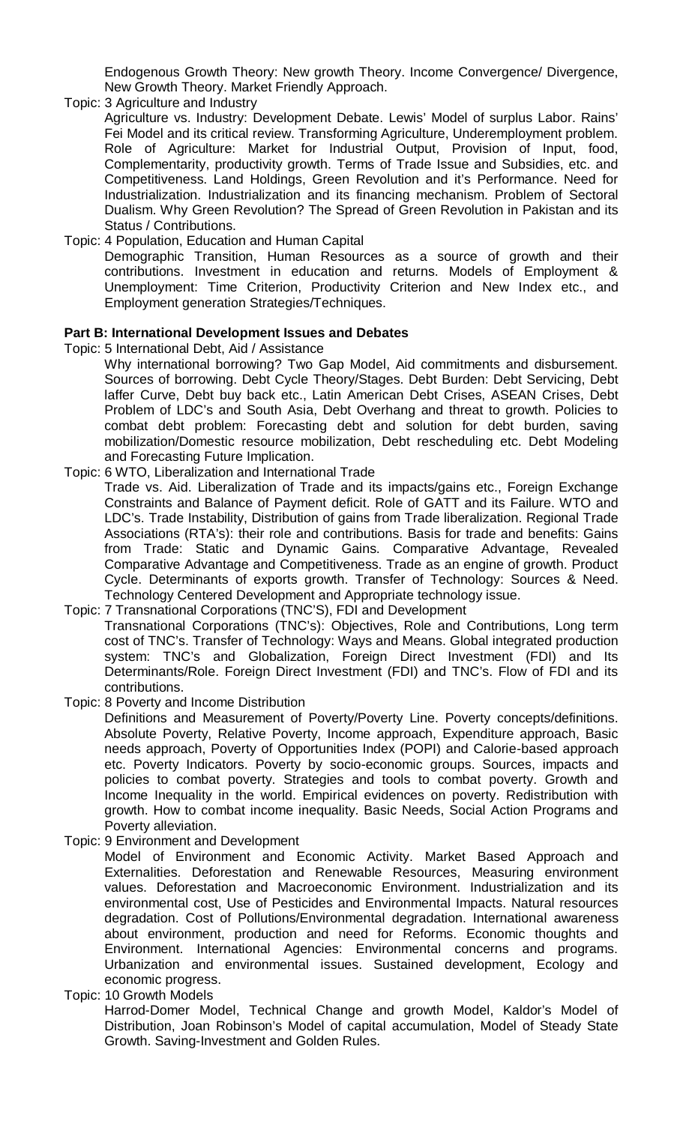Endogenous Growth Theory: New growth Theory. Income Convergence/ Divergence, New Growth Theory. Market Friendly Approach.

Topic: 3 Agriculture and Industry

Agriculture vs. Industry: Development Debate. Lewis' Model of surplus Labor. Rains' Fei Model and its critical review. Transforming Agriculture, Underemployment problem. Role of Agriculture: Market for Industrial Output, Provision of Input, food, Complementarity, productivity growth. Terms of Trade Issue and Subsidies, etc. and Competitiveness. Land Holdings, Green Revolution and it's Performance. Need for Industrialization. Industrialization and its financing mechanism. Problem of Sectoral Dualism. Why Green Revolution? The Spread of Green Revolution in Pakistan and its Status / Contributions.

Topic: 4 Population, Education and Human Capital Demographic Transition, Human Resources as a source of growth and their contributions. Investment in education and returns. Models of Employment & Unemployment: Time Criterion, Productivity Criterion and New Index etc., and Employment generation Strategies/Techniques.

#### **Part B: International Development Issues and Debates**

- Topic: 5 International Debt, Aid / Assistance
	- Why international borrowing? Two Gap Model, Aid commitments and disbursement. Sources of borrowing. Debt Cycle Theory/Stages. Debt Burden: Debt Servicing, Debt laffer Curve, Debt buy back etc., Latin American Debt Crises, ASEAN Crises, Debt Problem of LDC's and South Asia, Debt Overhang and threat to growth. Policies to combat debt problem: Forecasting debt and solution for debt burden, saving mobilization/Domestic resource mobilization, Debt rescheduling etc. Debt Modeling and Forecasting Future Implication.
- Topic: 6 WTO, Liberalization and International Trade
	- Trade vs. Aid. Liberalization of Trade and its impacts/gains etc., Foreign Exchange Constraints and Balance of Payment deficit. Role of GATT and its Failure. WTO and LDC's. Trade Instability, Distribution of gains from Trade liberalization. Regional Trade Associations (RTA's): their role and contributions. Basis for trade and benefits: Gains from Trade: Static and Dynamic Gains. Comparative Advantage, Revealed Comparative Advantage and Competitiveness. Trade as an engine of growth. Product Cycle. Determinants of exports growth. Transfer of Technology: Sources & Need. Technology Centered Development and Appropriate technology issue.
- Topic: 7 Transnational Corporations (TNC'S), FDI and Development Transnational Corporations (TNC's): Objectives, Role and Contributions, Long term cost of TNC's. Transfer of Technology: Ways and Means. Global integrated production system: TNC's and Globalization, Foreign Direct Investment (FDI) and Its Determinants/Role. Foreign Direct Investment (FDI) and TNC's. Flow of FDI and its contributions.
- Topic: 8 Poverty and Income Distribution

Definitions and Measurement of Poverty/Poverty Line. Poverty concepts/definitions. Absolute Poverty, Relative Poverty, Income approach, Expenditure approach, Basic needs approach, Poverty of Opportunities Index (POPI) and Calorie-based approach etc. Poverty Indicators. Poverty by socio-economic groups. Sources, impacts and policies to combat poverty. Strategies and tools to combat poverty. Growth and Income Inequality in the world. Empirical evidences on poverty. Redistribution with growth. How to combat income inequality. Basic Needs, Social Action Programs and Poverty alleviation.

Topic: 9 Environment and Development

Model of Environment and Economic Activity. Market Based Approach and Externalities. Deforestation and Renewable Resources, Measuring environment values. Deforestation and Macroeconomic Environment. Industrialization and its environmental cost, Use of Pesticides and Environmental Impacts. Natural resources degradation. Cost of Pollutions/Environmental degradation. International awareness about environment, production and need for Reforms. Economic thoughts and Environment. International Agencies: Environmental concerns and programs. Urbanization and environmental issues. Sustained development, Ecology and economic progress.

Topic: 10 Growth Models

Harrod-Domer Model, Technical Change and growth Model, Kaldor's Model of Distribution, Joan Robinson's Model of capital accumulation, Model of Steady State Growth. Saving-Investment and Golden Rules.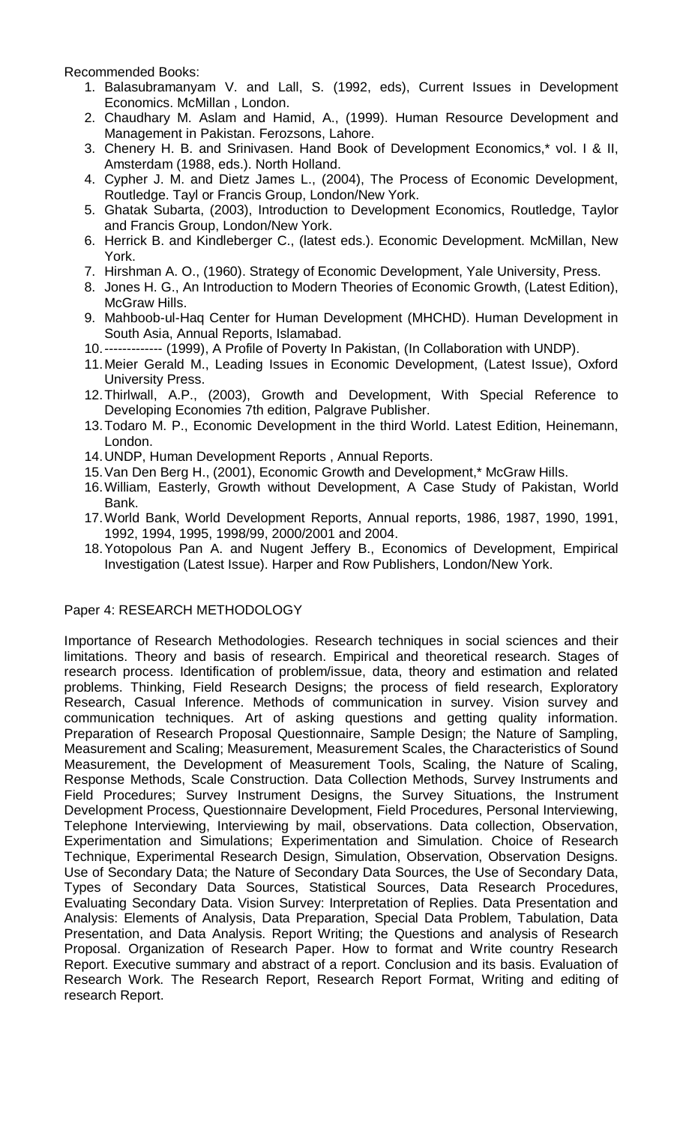Recommended Books:

- 1. Balasubramanyam V. and Lall, S. (1992, eds), Current Issues in Development Economics. McMillan , London.
- 2. Chaudhary M. Aslam and Hamid, A., (1999). Human Resource Development and Management in Pakistan. Ferozsons, Lahore.
- 3. Chenery H. B. and Srinivasen. Hand Book of Development Economics,\* vol. I & II, Amsterdam (1988, eds.). North Holland.
- 4. Cypher J. M. and Dietz James L., (2004), The Process of Economic Development, Routledge. Tayl or Francis Group, London/New York.
- 5. Ghatak Subarta, (2003), Introduction to Development Economics, Routledge, Taylor and Francis Group, London/New York.
- 6. Herrick B. and Kindleberger C., (latest eds.). Economic Development. McMillan, New York.
- 7. Hirshman A. O., (1960). Strategy of Economic Development, Yale University, Press.
- 8. Jones H. G., An Introduction to Modern Theories of Economic Growth, (Latest Edition), McGraw Hills.
- 9. Mahboob-ul-Haq Center for Human Development (MHCHD). Human Development in South Asia, Annual Reports, Islamabad.
- 10.------------- (1999), A Profile of Poverty In Pakistan, (In Collaboration with UNDP).
- 11.Meier Gerald M., Leading Issues in Economic Development, (Latest Issue), Oxford University Press.
- 12.Thirlwall, A.P., (2003), Growth and Development, With Special Reference to Developing Economies 7th edition, Palgrave Publisher.
- 13.Todaro M. P., Economic Development in the third World. Latest Edition, Heinemann, London.
- 14.UNDP, Human Development Reports , Annual Reports.
- 15.Van Den Berg H., (2001), Economic Growth and Development,\* McGraw Hills.
- 16.William, Easterly, Growth without Development, A Case Study of Pakistan, World Bank.
- 17.World Bank, World Development Reports, Annual reports, 1986, 1987, 1990, 1991, 1992, 1994, 1995, 1998/99, 2000/2001 and 2004.
- 18.Yotopolous Pan A. and Nugent Jeffery B., Economics of Development, Empirical Investigation (Latest Issue). Harper and Row Publishers, London/New York.

# Paper 4: RESEARCH METHODOLOGY

Importance of Research Methodologies. Research techniques in social sciences and their limitations. Theory and basis of research. Empirical and theoretical research. Stages of research process. Identification of problem/issue, data, theory and estimation and related problems. Thinking, Field Research Designs; the process of field research, Exploratory Research, Casual Inference. Methods of communication in survey. Vision survey and communication techniques. Art of asking questions and getting quality information. Preparation of Research Proposal Questionnaire, Sample Design; the Nature of Sampling, Measurement and Scaling; Measurement, Measurement Scales, the Characteristics of Sound Measurement, the Development of Measurement Tools, Scaling, the Nature of Scaling, Response Methods, Scale Construction. Data Collection Methods, Survey Instruments and Field Procedures; Survey Instrument Designs, the Survey Situations, the Instrument Development Process, Questionnaire Development, Field Procedures, Personal Interviewing, Telephone Interviewing, Interviewing by mail, observations. Data collection, Observation, Experimentation and Simulations; Experimentation and Simulation. Choice of Research Technique, Experimental Research Design, Simulation, Observation, Observation Designs. Use of Secondary Data; the Nature of Secondary Data Sources, the Use of Secondary Data, Types of Secondary Data Sources, Statistical Sources, Data Research Procedures, Evaluating Secondary Data. Vision Survey: Interpretation of Replies. Data Presentation and Analysis: Elements of Analysis, Data Preparation, Special Data Problem, Tabulation, Data Presentation, and Data Analysis. Report Writing; the Questions and analysis of Research Proposal. Organization of Research Paper. How to format and Write country Research Report. Executive summary and abstract of a report. Conclusion and its basis. Evaluation of Research Work. The Research Report, Research Report Format, Writing and editing of research Report.